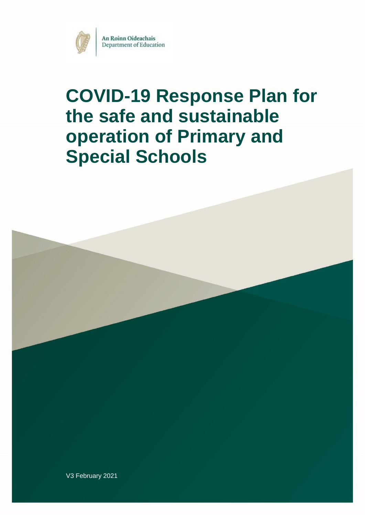

# **COVID-19 Response Plan for the safe and sustainable operation of Primary and Special Schools**



V3 February 2021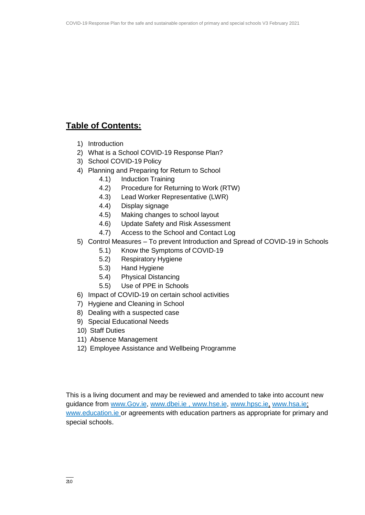### **Table of Contents:**

- 1) Introduction
- 2) What is a School COVID-19 Response Plan?
- 3) School COVID-19 Policy
- 4) Planning and Preparing for Return to School
	- 4.1) Induction Training
	- 4.2) Procedure for Returning to Work (RTW)
	- 4.3) Lead Worker Representative (LWR)
	- 4.4) Display signage
	- 4.5) Making changes to school layout
	- 4.6) Update Safety and Risk Assessment
	- 4.7) Access to the School and Contact Log
- 5) Control Measures To prevent Introduction and Spread of COVID-19 in Schools
	- 5.1) Know the Symptoms of COVID-19
	- 5.2) Respiratory Hygiene
	- 5.3) Hand Hygiene
	- 5.4) Physical Distancing
	- 5.5) Use of PPE in Schools
- 6) Impact of COVID-19 on certain school activities
- 7) Hygiene and Cleaning in School
- 8) Dealing with a suspected case
- 9) Special Educational Needs
- 10) Staff Duties
- 11) Absence Management
- 12) Employee Assistance and Wellbeing Programme

This is a living document and may be reviewed and amended to take into account new guidance from [www.Gov.ie,](http://www.gov.ie/) www.dbei.ie, [www.hse.ie,](http://www.hse.ie/) [www.hpsc.ie,](http://www.hpsc.ie/) [www.hsa.ie;](http://www.hsa.ie/) [www.education.ie o](http://www.education.ie/)r agreements with education partners as appropriate for primary and special schools.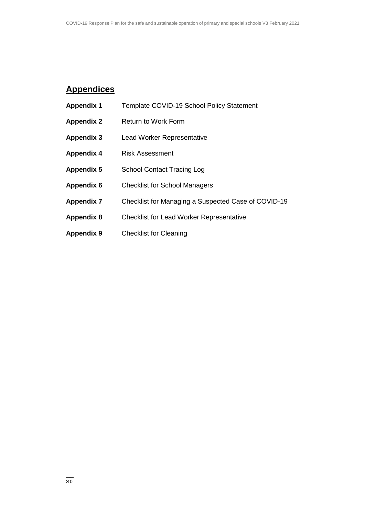### **Appendices**

| <b>Appendix 1</b> | Template COVID-19 School Policy Statement           |
|-------------------|-----------------------------------------------------|
| <b>Appendix 2</b> | <b>Return to Work Form</b>                          |
| Appendix 3        | <b>Lead Worker Representative</b>                   |
| <b>Appendix 4</b> | <b>Risk Assessment</b>                              |
| <b>Appendix 5</b> | <b>School Contact Tracing Log</b>                   |
| Appendix 6        | <b>Checklist for School Managers</b>                |
| <b>Appendix 7</b> | Checklist for Managing a Suspected Case of COVID-19 |
| <b>Appendix 8</b> | <b>Checklist for Lead Worker Representative</b>     |
| <b>Appendix 9</b> | <b>Checklist for Cleaning</b>                       |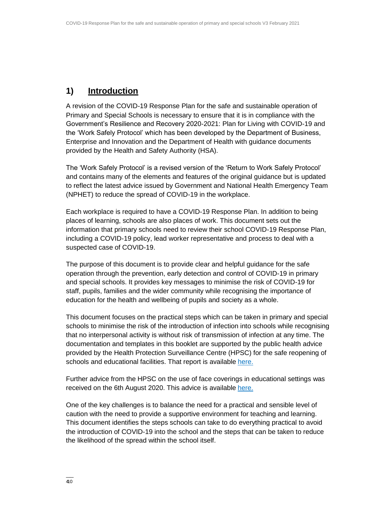### **1) Introduction**

A revision of the COVID-19 Response Plan for the safe and sustainable operation of Primary and Special Schools is necessary to ensure that it is in compliance with the Government's Resilience and Recovery 2020-2021: Plan for Living with COVID-19 and the 'Work Safely Protocol' which has been developed by the Department of Business, Enterprise and Innovation and the Department of Health with guidance documents provided by the Health and Safety Authority (HSA).

The 'Work Safely Protocol' is a revised version of the 'Return to Work Safely Protocol' and contains many of the elements and features of the original guidance but is updated to reflect the latest advice issued by Government and National Health Emergency Team (NPHET) to reduce the spread of COVID-19 in the workplace.

Each workplace is required to have a COVID-19 Response Plan. In addition to being places of learning, schools are also places of work. This document sets out the information that primary schools need to review their school COVID-19 Response Plan, including a COVID-19 policy, lead worker representative and process to deal with a suspected case of COVID-19.

The purpose of this document is to provide clear and helpful guidance for the safe operation through the prevention, early detection and control of COVID-19 in primary and special schools. It provides key messages to minimise the risk of COVID-19 for staff, pupils, families and the wider community while recognising the importance of education for the health and wellbeing of pupils and society as a whole.

This document focuses on the practical steps which can be taken in primary and special schools to minimise the risk of the introduction of infection into schools while recognising that no interpersonal activity is without risk of transmission of infection at any time. The documentation and templates in this booklet are supported by the public health advice provided by the Health Protection Surveillance Centre (HPSC) for the safe reopening of schools and educational facilities. That report is available [here.](https://assets.gov.ie/78748/8796d60e-790e-4007-add1-de18e509a3c1.pdf)

Further advice from the HPSC on the use of face coverings in educational settings was received on the 6th August 2020. This advice is available [here.](https://assets.gov.ie/83506/86fba2a7-26da-4c19-bce3-b0d01aaaf59b.pdf)

One of the key challenges is to balance the need for a practical and sensible level of caution with the need to provide a supportive environment for teaching and learning. This document identifies the steps schools can take to do everything practical to avoid the introduction of COVID-19 into the school and the steps that can be taken to reduce the likelihood of the spread within the school itself.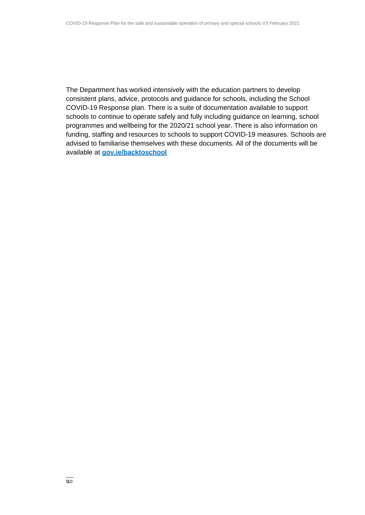The Department has worked intensively with the education partners to develop consistent plans, advice, protocols and guidance for schools, including the School COVID-19 Response plan. There is a suite of documentation available to support schools to continue to operate safely and fully including guidance on learning, school programmes and wellbeing for the 2020/21 school year. There is also information on funding, staffing and resources to schools to support COVID-19 measures. Schools are advised to familiarise themselves with these documents. All of the documents will be available at **[gov.ie/backtoschool](http://www.gov.ie/backtoschool)**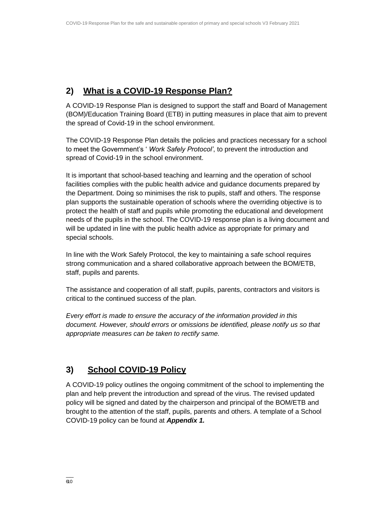### **2) What is a COVID-19 Response Plan?**

A COVID-19 Response Plan is designed to support the staff and Board of Management (BOM)/Education Training Board (ETB) in putting measures in place that aim to prevent the spread of Covid-19 in the school environment.

The COVID-19 Response Plan details the policies and practices necessary for a school to meet the Government's ' *Work Safely Protocol'*, to prevent the introduction and spread of Covid-19 in the school environment.

It is important that school-based teaching and learning and the operation of school facilities complies with the public health advice and guidance documents prepared by the Department. Doing so minimises the risk to pupils, staff and others. The response plan supports the sustainable operation of schools where the overriding objective is to protect the health of staff and pupils while promoting the educational and development needs of the pupils in the school. The COVID-19 response plan is a living document and will be updated in line with the public health advice as appropriate for primary and special schools.

In line with the Work Safely Protocol, the key to maintaining a safe school requires strong communication and a shared collaborative approach between the BOM/ETB, staff, pupils and parents.

The assistance and cooperation of all staff, pupils, parents, contractors and visitors is critical to the continued success of the plan.

*Every effort is made to ensure the accuracy of the information provided in this document. However, should errors or omissions be identified, please notify us so that appropriate measures can be taken to rectify same.*

### **3) School COVID-19 Policy**

A COVID-19 policy outlines the ongoing commitment of the school to implementing the plan and help prevent the introduction and spread of the virus. The revised updated policy will be signed and dated by the chairperson and principal of the BOM/ETB and brought to the attention of the staff, pupils, parents and others. A template of a School COVID-19 policy can be found at *Appendix 1.*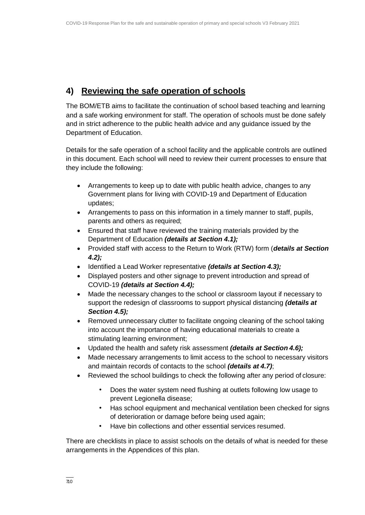### **4) Reviewing the safe operation of schools**

The BOM/ETB aims to facilitate the continuation of school based teaching and learning and a safe working environment for staff. The operation of schools must be done safely and in strict adherence to the public health advice and any guidance issued by the Department of Education.

Details for the safe operation of a school facility and the applicable controls are outlined in this document. Each school will need to review their current processes to ensure that they include the following:

- Arrangements to keep up to date with public health advice, changes to any Government plans for living with COVID-19 and Department of Education updates;
- Arrangements to pass on this information in a timely manner to staff, pupils, parents and others as required;
- Ensured that staff have reviewed the training materials provided by the Department of Education *(details at Section 4.1);*
- Provided staff with access to the Return to Work (RTW) form (*details at Section 4.2);*
- Identified a Lead Worker representative *(details at Section 4.3);*
- Displayed posters and other signage to prevent introduction and spread of COVID-19 *(details at Section 4.4);*
- Made the necessary changes to the school or classroom layout if necessary to support the redesign of classrooms to support physical distancing *(details at Section 4.5);*
- Removed unnecessary clutter to facilitate ongoing cleaning of the school taking into account the importance of having educational materials to create a stimulating learning environment;
- Updated the health and safety risk assessment *(details at Section 4.6);*
- Made necessary arrangements to limit access to the school to necessary visitors and maintain records of contacts to the school *(details at 4.7)*;
- Reviewed the school buildings to check the following after any period of closure:
	- Does the water system need flushing at outlets following low usage to prevent Legionella disease;
	- Has school equipment and mechanical ventilation been checked for signs of deterioration or damage before being used again;
	- Have bin collections and other essential services resumed.

There are checklists in place to assist schools on the details of what is needed for these arrangements in the Appendices of this plan.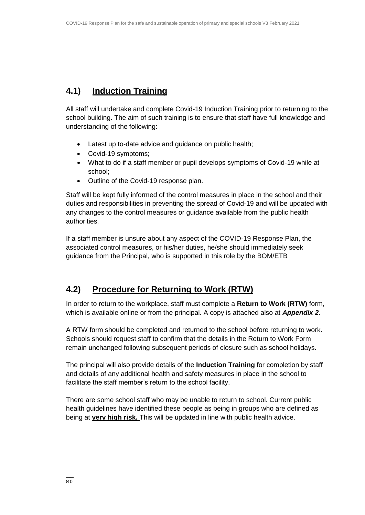### **4.1) Induction Training**

All staff will undertake and complete Covid-19 Induction Training prior to returning to the school building. The aim of such training is to ensure that staff have full knowledge and understanding of the following:

- Latest up to-date advice and guidance on public health;
- Covid-19 symptoms;
- What to do if a staff member or pupil develops symptoms of Covid-19 while at school;
- Outline of the Covid-19 response plan.

Staff will be kept fully informed of the control measures in place in the school and their duties and responsibilities in preventing the spread of Covid-19 and will be updated with any changes to the control measures or guidance available from the public health authorities.

If a staff member is unsure about any aspect of the COVID-19 Response Plan, the associated control measures, or his/her duties, he/she should immediately seek guidance from the Principal, who is supported in this role by the BOM/ETB

### **4.2) Procedure for Returning to Work (RTW)**

In order to return to the workplace, staff must complete a **Return to Work (RTW)** form, which is available online or from the principal. A copy is attached also at *Appendix 2.*

A RTW form should be completed and returned to the school before returning to work. Schools should request staff to confirm that the details in the Return to Work Form remain unchanged following subsequent periods of closure such as school holidays.

The principal will also provide details of the **Induction Training** for completion by staff and details of any additional health and safety measures in place in the school to facilitate the staff member's return to the school facility.

There are some school staff who may be unable to return to school. Current public health guidelines have identified these people as being in groups who are defined as being at **very high risk.** This will be updated in line with public health advice.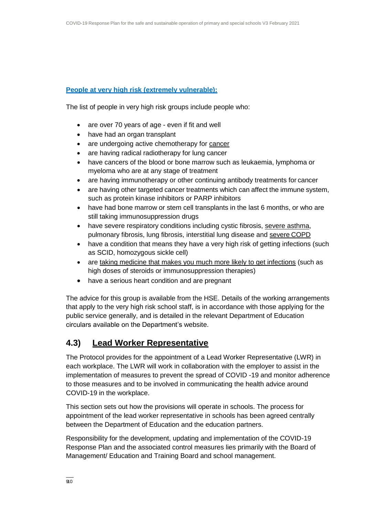### **[People at very high risk \(extremely vulnerable\):](https://www2.hse.ie/conditions/coronavirus/people-at-higher-risk.html)**

The list of people in very high risk groups include people who:

- are over 70 years of age even if fit and well
- have had an organ transplant
- are undergoing active chemotherapy for [cancer](https://www2.hse.ie/conditions/coronavirus/cancer-patients.html)
- are having radical radiotherapy for lung cancer
- have cancers of the blood or bone marrow such as leukaemia, lymphoma or myeloma who are at any stage of treatment
- are having immunotherapy or other continuing antibody treatments for cancer
- are having other targeted cancer treatments which can affect the immune system, such as protein kinase inhibitors or PARP inhibitors
- have had bone marrow or stem cell transplants in the last 6 months, or who are still taking immunosuppression drugs
- have severe respiratory conditions including cystic fibrosis, [severe asthma,](https://www2.hse.ie/conditions/coronavirus/asthma.html) pulmonary fibrosis, lung fibrosis, interstitial lung disease and [severe](https://www2.hse.ie/conditions/coronavirus/copd.html) COPD
- have a condition that means they have a very high risk of getting infections (such as SCID, homozygous sickle cell)
- are [taking medicine that makes you much more likely to](https://www2.hse.ie/conditions/coronavirus/weak-immune-system.html) get infections (such as high doses of steroids or immunosuppression therapies)
- have a serious heart condition and are pregnant

The advice for this group is available from the HSE. Details of the working arrangements that apply to the very high risk school staff, is in accordance with those applying for the public service generally, and is detailed in the relevant Department of Education circulars available on the Department's website.

### **4.3) Lead Worker Representative**

The Protocol provides for the appointment of a Lead Worker Representative (LWR) in each workplace. The LWR will work in collaboration with the employer to assist in the implementation of measures to prevent the spread of COVID -19 and monitor adherence to those measures and to be involved in communicating the health advice around COVID-19 in the workplace.

This section sets out how the provisions will operate in schools. The process for appointment of the lead worker representative in schools has been agreed centrally between the Department of Education and the education partners.

Responsibility for the development, updating and implementation of the COVID-19 Response Plan and the associated control measures lies primarily with the Board of Management/ Education and Training Board and school management.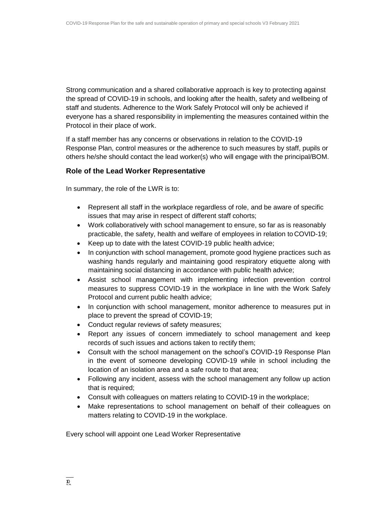Strong communication and a shared collaborative approach is key to protecting against the spread of COVID-19 in schools, and looking after the health, safety and wellbeing of staff and students. Adherence to the Work Safely Protocol will only be achieved if everyone has a shared responsibility in implementing the measures contained within the Protocol in their place of work.

If a staff member has any concerns or observations in relation to the COVID-19 Response Plan, control measures or the adherence to such measures by staff, pupils or others he/she should contact the lead worker(s) who will engage with the principal/BOM.

### **Role of the Lead Worker Representative**

In summary, the role of the LWR is to:

- Represent all staff in the workplace regardless of role, and be aware of specific issues that may arise in respect of different staff cohorts;
- Work collaboratively with school management to ensure, so far as is reasonably practicable, the safety, health and welfare of employees in relation to COVID-19;
- Keep up to date with the latest COVID-19 public health advice;
- In conjunction with school management, promote good hygiene practices such as washing hands regularly and maintaining good respiratory etiquette along with maintaining social distancing in accordance with public health advice;
- Assist school management with implementing infection prevention control measures to suppress COVID-19 in the workplace in line with the Work Safely Protocol and current public health advice;
- In conjunction with school management, monitor adherence to measures put in place to prevent the spread of COVID-19;
- Conduct regular reviews of safety measures;
- Report any issues of concern immediately to school management and keep records of such issues and actions taken to rectify them;
- Consult with the school management on the school's COVID-19 Response Plan in the event of someone developing COVID-19 while in school including the location of an isolation area and a safe route to that area;
- Following any incident, assess with the school management any follow up action that is required;
- Consult with colleagues on matters relating to COVID-19 in the workplace;
- Make representations to school management on behalf of their colleagues on matters relating to COVID-19 in the workplace.

Every school will appoint one Lead Worker Representative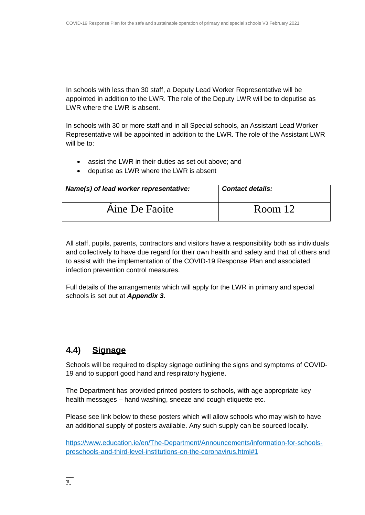In schools with less than 30 staff, a Deputy Lead Worker Representative will be appointed in addition to the LWR. The role of the Deputy LWR will be to deputise as LWR where the LWR is absent.

In schools with 30 or more staff and in all Special schools, an Assistant Lead Worker Representative will be appointed in addition to the LWR. The role of the Assistant LWR will be to:

- assist the LWR in their duties as set out above; and
- deputise as LWR where the LWR is absent

| Name(s) of lead worker representative: | <b>Contact details:</b> |
|----------------------------------------|-------------------------|
| Aine De Faoite                         | Room 12                 |

All staff, pupils, parents, contractors and visitors have a responsibility both as individuals and collectively to have due regard for their own health and safety and that of others and to assist with the implementation of the COVID-19 Response Plan and associated infection prevention control measures.

Full details of the arrangements which will apply for the LWR in primary and special schools is set out at *Appendix 3.*

### **4.4) Signage**

Schools will be required to display signage outlining the signs and symptoms of COVID-19 and to support good hand and respiratory hygiene.

The Department has provided printed posters to schools, with age appropriate key health messages – hand washing, sneeze and cough etiquette etc.

Please see link below to these posters which will allow schools who may wish to have an additional supply of posters available. Any such supply can be sourced locally.

[https://www.education.ie/en/The-Department/Announcements/information-for-schools](https://www.education.ie/en/The-Department/Announcements/information-for-schools-preschools-and-third-level-institutions-on-the-coronavirus.html#1)[preschools-and-third-level-institutions-on-the-coronavirus.html#1](https://www.education.ie/en/The-Department/Announcements/information-for-schools-preschools-and-third-level-institutions-on-the-coronavirus.html#1)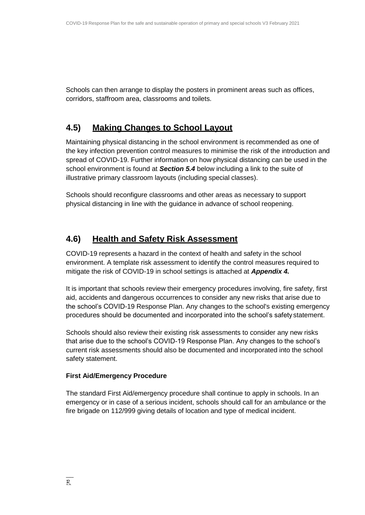Schools can then arrange to display the posters in prominent areas such as offices, corridors, staffroom area, classrooms and toilets.

### **4.5) Making Changes to School Layout**

Maintaining physical distancing in the school environment is recommended as one of the key infection prevention control measures to minimise the risk of the introduction and spread of COVID-19. Further information on how physical distancing can be used in the school environment is found at *Section 5.4* below including a link to the suite of illustrative primary classroom layouts (including special classes).

Schools should reconfigure classrooms and other areas as necessary to support physical distancing in line with the guidance in advance of school reopening.

### **4.6) Health and Safety Risk Assessment**

COVID-19 represents a hazard in the context of health and safety in the school environment. A template risk assessment to identify the control measures required to mitigate the risk of COVID-19 in school settings is attached at *Appendix 4.*

It is important that schools review their emergency procedures involving, fire safety, first aid, accidents and dangerous occurrences to consider any new risks that arise due to the school's COVID-19 Response Plan. Any changes to the school's existing emergency procedures should be documented and incorporated into the school's safety statement.

Schools should also review their existing risk assessments to consider any new risks that arise due to the school's COVID-19 Response Plan. Any changes to the school's current risk assessments should also be documented and incorporated into the school safety statement.

### **First Aid/Emergency Procedure**

The standard First Aid/emergency procedure shall continue to apply in schools. In an emergency or in case of a serious incident, schools should call for an ambulance or the fire brigade on 112/999 giving details of location and type of medical incident.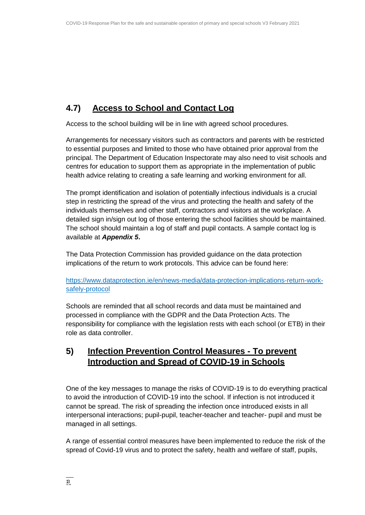### **4.7) Access to School and Contact Log**

Access to the school building will be in line with agreed school procedures.

Arrangements for necessary visitors such as contractors and parents with be restricted to essential purposes and limited to those who have obtained prior approval from the principal. The Department of Education Inspectorate may also need to visit schools and centres for education to support them as appropriate in the implementation of public health advice relating to creating a safe learning and working environment for all.

The prompt identification and isolation of potentially infectious individuals is a crucial step in restricting the spread of the virus and protecting the health and safety of the individuals themselves and other staff, contractors and visitors at the workplace. A detailed sign in/sign out log of those entering the school facilities should be maintained. The school should maintain a log of staff and pupil contacts. A sample contact log is available at *Appendix 5***.**

The Data Protection Commission has provided guidance on the data protection implications of the return to work protocols. This advice can be found here:

[https://www.dataprotection.ie/en/news-media/data-protection-implications-return-work](https://www.dataprotection.ie/en/news-media/data-protection-implications-return-work-safely-protocol)[safely-protocol](https://www.dataprotection.ie/en/news-media/data-protection-implications-return-work-safely-protocol)

Schools are reminded that all school records and data must be maintained and processed in compliance with the GDPR and the Data Protection Acts. The responsibility for compliance with the legislation rests with each school (or ETB) in their role as data controller.

### **5) Infection Prevention Control Measures - To prevent Introduction and Spread of COVID-19 in Schools**

One of the key messages to manage the risks of COVID-19 is to do everything practical to avoid the introduction of COVID-19 into the school. If infection is not introduced it cannot be spread. The risk of spreading the infection once introduced exists in all interpersonal interactions; pupil-pupil, teacher-teacher and teacher- pupil and must be managed in all settings.

A range of essential control measures have been implemented to reduce the risk of the spread of Covid-19 virus and to protect the safety, health and welfare of staff, pupils,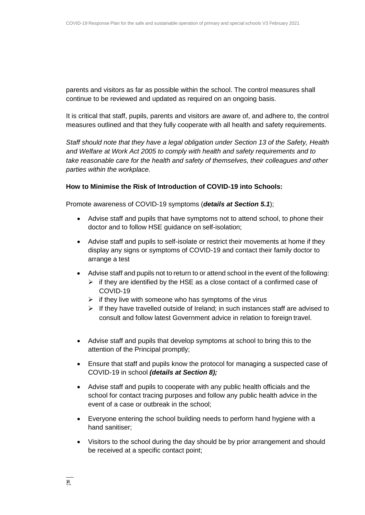parents and visitors as far as possible within the school. The control measures shall continue to be reviewed and updated as required on an ongoing basis.

It is critical that staff, pupils, parents and visitors are aware of, and adhere to, the control measures outlined and that they fully cooperate with all health and safety requirements.

*Staff should note that they have a legal obligation under Section 13 of the Safety, Health and Welfare at Work Act 2005 to comply with health and safety requirements and to take reasonable care for the health and safety of themselves, their colleagues and other parties within the workplace.*

#### **How to Minimise the Risk of Introduction of COVID-19 into Schools:**

Promote awareness of COVID-19 symptoms (*details at Section 5.1*);

- Advise staff and pupils that have symptoms not to attend school, to phone their doctor and to follow HSE guidance on self-isolation;
- Advise staff and pupils to self-isolate or restrict their movements at home if they display any signs or symptoms of COVID-19 and contact their family doctor to arrange a test
- Advise staff and pupils not to return to or attend school in the event of the following:
	- $\triangleright$  if they are identified by the HSE as a close contact of a confirmed case of COVID-19
	- $\triangleright$  if they live with someone who has symptoms of the virus
	- $\triangleright$  If they have travelled outside of Ireland; in such instances staff are advised to consult and follow latest Government advice in relation to foreign travel.
- Advise staff and pupils that develop symptoms at school to bring this to the attention of the Principal promptly;
- Ensure that staff and pupils know the protocol for managing a suspected case of COVID-19 in school *(details at Section 8);*
- Advise staff and pupils to cooperate with any public health officials and the school for contact tracing purposes and follow any public health advice in the event of a case or outbreak in the school;
- Everyone entering the school building needs to perform hand hygiene with a hand sanitiser;
- Visitors to the school during the day should be by prior arrangement and should be received at a specific contact point;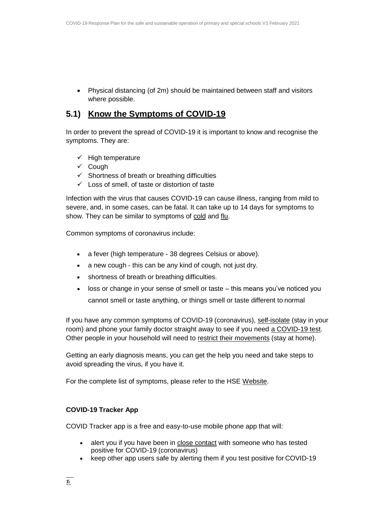Physical distancing (of 2m) should be maintained between staff and visitors where possible.

### **5.1) Know the Symptoms of COVID-19**

In order to prevent the spread of COVID-19 it is important to know and recognise the symptoms. They are:

- $\checkmark$  High temperature
- $\checkmark$  Cough
- $\checkmark$  Shortness of breath or breathing difficulties
- $\checkmark$  Loss of smell, of taste or distortion of taste

Infection with the virus that causes COVID-19 can cause illness, ranging from mild to severe, and, in some cases, can be fatal. It can take up to 14 days for symptoms to show. They can be similar to symptoms of [cold](https://www2.hse.ie/conditions/common-cold.html) and [flu.](https://www2.hse.ie/conditions/flu/flu-symptoms-and-diagnosis.html)

Common symptoms of coronavirus include:

- a fever (high temperature 38 degrees Celsius or above).
- a new cough this can be any kind of cough, not just dry.
- shortness of breath or breathing difficulties.
- loss or change in your sense of smell or taste this means you've noticed you cannot smell or taste anything, or things smell or taste different to normal

If you have any common symptoms of COVID-19 (coronavirus), [self-isolate](https://www2.hse.ie/conditions/coronavirus/self-isolation/how-to-self-isolate.html) (stay in your room) and phone your family doctor straight away to see if you need [a COVID-19 test.](https://www2.hse.ie/conditions/coronavirus/testing/how-to-get-tested.html) Other people in your household will need to [restrict their movements](https://www2.hse.ie/conditions/coronavirus/managing-coronavirus-at-home/if-you-live-with-someone-who-has-coronavirus.html) (stay at home).

Getting an early diagnosis means, you can get the help you need and take steps to avoid spreading the virus, if you have it.

For the complete list of symptoms, please refer to the HSE [Website.](https://www2.hse.ie/conditions/coronavirus/symptoms.html)

### **COVID-19 Tracker App**

COVID Tracker app is a free and easy-to-use mobile phone app that will:

- alert you if you have been in [close contact](https://www2.hse.ie/conditions/coronavirus/close-contact-and-casual-contact.html) with someone who has tested positive for COVID-19 (coronavirus)
- keep other app users safe by alerting them if you test positive for COVID-19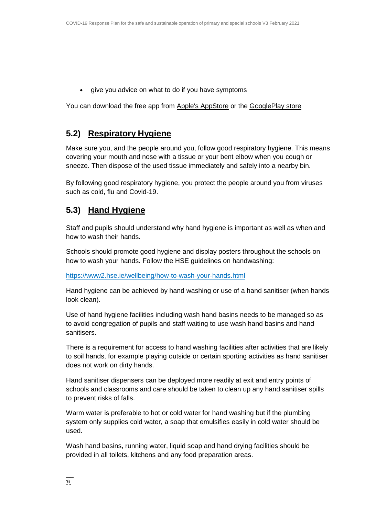give you advice on what to do if you have symptoms

You can download the free app from [Apple's AppStore](https://apps.apple.com/ie/app/covid-tracker-ireland/id1505596721) or the [GooglePlay store](https://play.google.com/store/apps/details?id=com.covidtracker.hse)

### **5.2) Respiratory Hygiene**

Make sure you, and the people around you, follow good respiratory hygiene. This means covering your mouth and nose with a tissue or your bent elbow when you cough or sneeze. Then dispose of the used tissue immediately and safely into a nearby bin.

By following good respiratory hygiene, you protect the people around you from viruses such as cold, flu and Covid-19.

### **5.3) Hand Hygiene**

Staff and pupils should understand why hand hygiene is important as well as when and how to wash their hands.

Schools should promote good hygiene and display posters throughout the schools on how to wash your hands. Follow the HSE guidelines on handwashing:

<https://www2.hse.ie/wellbeing/how-to-wash-your-hands.html>

Hand hygiene can be achieved by hand washing or use of a hand sanitiser (when hands look clean).

Use of hand hygiene facilities including wash hand basins needs to be managed so as to avoid congregation of pupils and staff waiting to use wash hand basins and hand sanitisers.

There is a requirement for access to hand washing facilities after activities that are likely to soil hands, for example playing outside or certain sporting activities as hand sanitiser does not work on dirty hands.

Hand sanitiser dispensers can be deployed more readily at exit and entry points of schools and classrooms and care should be taken to clean up any hand sanitiser spills to prevent risks of falls.

Warm water is preferable to hot or cold water for hand washing but if the plumbing system only supplies cold water, a soap that emulsifies easily in cold water should be used.

Wash hand basins, running water, liquid soap and hand drying facilities should be provided in all toilets, kitchens and any food preparation areas.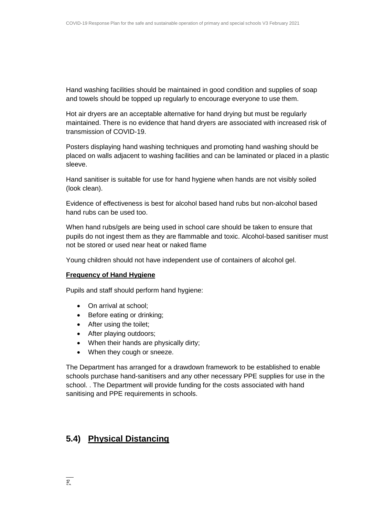Hand washing facilities should be maintained in good condition and supplies of soap and towels should be topped up regularly to encourage everyone to use them.

Hot air dryers are an acceptable alternative for hand drying but must be regularly maintained. There is no evidence that hand dryers are associated with increased risk of transmission of COVID-19.

Posters displaying hand washing techniques and promoting hand washing should be placed on walls adjacent to washing facilities and can be laminated or placed in a plastic sleeve.

Hand sanitiser is suitable for use for hand hygiene when hands are not visibly soiled (look clean).

Evidence of effectiveness is best for alcohol based hand rubs but non-alcohol based hand rubs can be used too.

When hand rubs/gels are being used in school care should be taken to ensure that pupils do not ingest them as they are flammable and toxic. Alcohol-based sanitiser must not be stored or used near heat or naked flame

Young children should not have independent use of containers of alcohol gel.

#### **Frequency of Hand Hygiene**

Pupils and staff should perform hand hygiene:

- On arrival at school:
- Before eating or drinking;
- After using the toilet;
- After playing outdoors;
- When their hands are physically dirty;
- When they cough or sneeze.

The Department has arranged for a drawdown framework to be established to enable schools purchase hand-sanitisers and any other necessary PPE supplies for use in the school. . The Department will provide funding for the costs associated with hand sanitising and PPE requirements in schools.

### **5.4) Physical Distancing**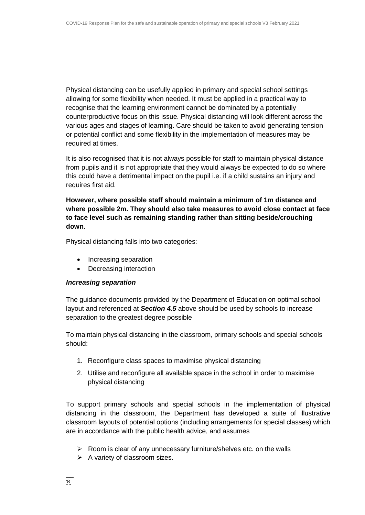Physical distancing can be usefully applied in primary and special school settings allowing for some flexibility when needed. It must be applied in a practical way to recognise that the learning environment cannot be dominated by a potentially counterproductive focus on this issue. Physical distancing will look different across the various ages and stages of learning. Care should be taken to avoid generating tension or potential conflict and some flexibility in the implementation of measures may be required at times.

It is also recognised that it is not always possible for staff to maintain physical distance from pupils and it is not appropriate that they would always be expected to do so where this could have a detrimental impact on the pupil i.e. if a child sustains an injury and requires first aid.

**However, where possible staff should maintain a minimum of 1m distance and where possible 2m. They should also take measures to avoid close contact at face to face level such as remaining standing rather than sitting beside/crouching down**.

Physical distancing falls into two categories:

- Increasing separation
- Decreasing interaction

#### *Increasing separation*

The guidance documents provided by the Department of Education on optimal school layout and referenced at *Section 4.5* above should be used by schools to increase separation to the greatest degree possible

To maintain physical distancing in the classroom, primary schools and special schools should:

- 1. Reconfigure class spaces to maximise physical distancing
- 2. Utilise and reconfigure all available space in the school in order to maximise physical distancing

To support primary schools and special schools in the implementation of physical distancing in the classroom, the Department has developed a suite of illustrative classroom layouts of potential options (including arrangements for special classes) which are in accordance with the public health advice, and assumes

- $\triangleright$  Room is clear of any unnecessary furniture/shelves etc. on the walls
- $\triangleright$  A variety of classroom sizes.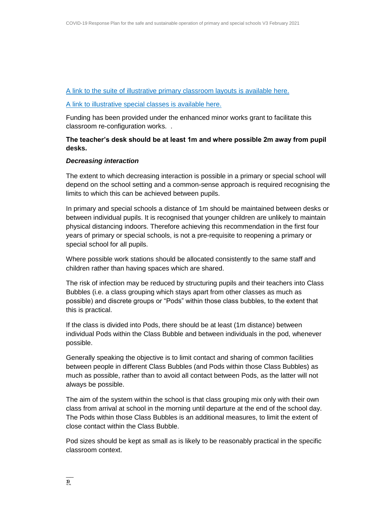#### [A link to the suite of illustrative primary classroom layouts is available here.](https://s3-eu-west-1.amazonaws.com/govieassets/82023/7612d390-4a73-4afb-ba06-5d1c41bd5a0a.pdf)

#### [A link to illustrative special classes is available here.](https://s3-eu-west-1.amazonaws.com/govieassets/81948/36874b14-f604-4966-b8c8-bc2954b73bbd.pdf)

Funding has been provided under the enhanced minor works grant to facilitate this classroom re-configuration works. .

**The teacher's desk should be at least 1m and where possible 2m away from pupil desks.**

#### *Decreasing interaction*

The extent to which decreasing interaction is possible in a primary or special school will depend on the school setting and a common-sense approach is required recognising the limits to which this can be achieved between pupils.

In primary and special schools a distance of 1m should be maintained between desks or between individual pupils. It is recognised that younger children are unlikely to maintain physical distancing indoors. Therefore achieving this recommendation in the first four years of primary or special schools, is not a pre-requisite to reopening a primary or special school for all pupils.

Where possible work stations should be allocated consistently to the same staff and children rather than having spaces which are shared.

The risk of infection may be reduced by structuring pupils and their teachers into Class Bubbles (i.e. a class grouping which stays apart from other classes as much as possible) and discrete groups or "Pods" within those class bubbles, to the extent that this is practical.

If the class is divided into Pods, there should be at least (1m distance) between individual Pods within the Class Bubble and between individuals in the pod, whenever possible.

Generally speaking the objective is to limit contact and sharing of common facilities between people in different Class Bubbles (and Pods within those Class Bubbles) as much as possible, rather than to avoid all contact between Pods, as the latter will not always be possible.

The aim of the system within the school is that class grouping mix only with their own class from arrival at school in the morning until departure at the end of the school day. The Pods within those Class Bubbles is an additional measures, to limit the extent of close contact within the Class Bubble.

Pod sizes should be kept as small as is likely to be reasonably practical in the specific classroom context.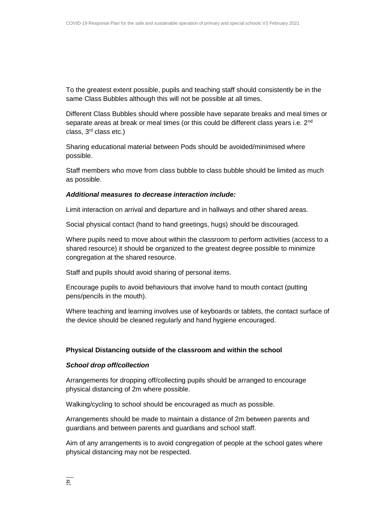To the greatest extent possible, pupils and teaching staff should consistently be in the same Class Bubbles although this will not be possible at all times.

Different Class Bubbles should where possible have separate breaks and meal times or separate areas at break or meal times (or this could be different class years i.e. 2<sup>nd</sup> class, 3rd class etc.)

Sharing educational material between Pods should be avoided/minimised where possible.

Staff members who move from class bubble to class bubble should be limited as much as possible.

#### *Additional measures to decrease interaction include:*

Limit interaction on arrival and departure and in hallways and other shared areas.

Social physical contact (hand to hand greetings, hugs) should be discouraged.

Where pupils need to move about within the classroom to perform activities (access to a shared resource) it should be organized to the greatest degree possible to minimize congregation at the shared resource.

Staff and pupils should avoid sharing of personal items.

Encourage pupils to avoid behaviours that involve hand to mouth contact (putting pens/pencils in the mouth).

Where teaching and learning involves use of keyboards or tablets, the contact surface of the device should be cleaned regularly and hand hygiene encouraged.

#### **Physical Distancing outside of the classroom and within the school**

#### *School drop off/collection*

Arrangements for dropping off/collecting pupils should be arranged to encourage physical distancing of 2m where possible.

Walking/cycling to school should be encouraged as much as possible.

Arrangements should be made to maintain a distance of 2m between parents and guardians and between parents and guardians and school staff.

Aim of any arrangements is to avoid congregation of people at the school gates where physical distancing may not be respected.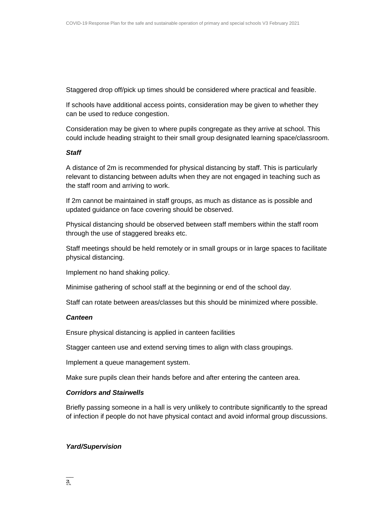Staggered drop off/pick up times should be considered where practical and feasible.

If schools have additional access points, consideration may be given to whether they can be used to reduce congestion.

Consideration may be given to where pupils congregate as they arrive at school. This could include heading straight to their small group designated learning space/classroom.

#### *Staff*

A distance of 2m is recommended for physical distancing by staff. This is particularly relevant to distancing between adults when they are not engaged in teaching such as the staff room and arriving to work.

If 2m cannot be maintained in staff groups, as much as distance as is possible and updated guidance on face covering should be observed.

Physical distancing should be observed between staff members within the staff room through the use of staggered breaks etc.

Staff meetings should be held remotely or in small groups or in large spaces to facilitate physical distancing.

Implement no hand shaking policy.

Minimise gathering of school staff at the beginning or end of the school day.

Staff can rotate between areas/classes but this should be minimized where possible.

#### *Canteen*

Ensure physical distancing is applied in canteen facilities

Stagger canteen use and extend serving times to align with class groupings.

Implement a queue management system.

Make sure pupils clean their hands before and after entering the canteen area.

#### *Corridors and Stairwells*

Briefly passing someone in a hall is very unlikely to contribute significantly to the spread of infection if people do not have physical contact and avoid informal group discussions.

#### *Yard/Supervision*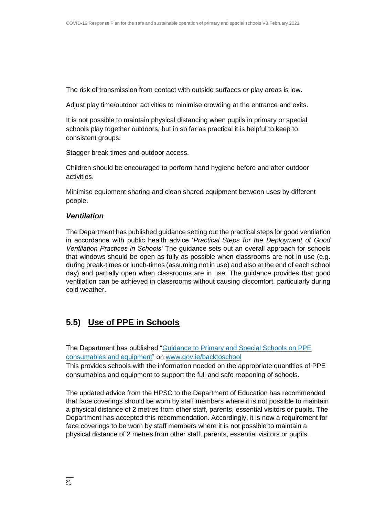The risk of transmission from contact with outside surfaces or play areas is low.

Adjust play time/outdoor activities to minimise crowding at the entrance and exits.

It is not possible to maintain physical distancing when pupils in primary or special schools play together outdoors, but in so far as practical it is helpful to keep to consistent groups.

Stagger break times and outdoor access.

Children should be encouraged to perform hand hygiene before and after outdoor activities.

Minimise equipment sharing and clean shared equipment between uses by different people.

#### *Ventilation*

The Department has published guidance setting out the practical steps for good ventilation in accordance with public health advice '*Practical Steps for the Deployment of Good Ventilation Practices in Schools'* The guidance sets out an overall approach for schools that windows should be open as fully as possible when classrooms are not in use (e.g. during break-times or lunch-times (assuming not in use) and also at the end of each school day) and partially open when classrooms are in use. The guidance provides that good ventilation can be achieved in classrooms without causing discomfort, particularly during cold weather.

### **5.5) Use of PPE in Schools**

The Department has published ["Guidance to Primary and Special Schools on PPE](https://assets.gov.ie/83497/d48ade18-daa1-4610-9390-46e7312a9831.pdf) [consumables and equipment"](https://assets.gov.ie/83497/d48ade18-daa1-4610-9390-46e7312a9831.pdf) on [www.gov.ie/backtoschool](http://www.gov.ie/backtoschool)

This provides schools with the information needed on the appropriate quantities of PPE consumables and equipment to support the full and safe reopening of schools.

The updated advice from the HPSC to the Department of Education has recommended that face coverings should be worn by staff members where it is not possible to maintain a physical distance of 2 metres from other staff, parents, essential visitors or pupils. The Department has accepted this recommendation. Accordingly, it is now a requirement for face coverings to be worn by staff members where it is not possible to maintain a physical distance of 2 metres from other staff, parents, essential visitors or pupils.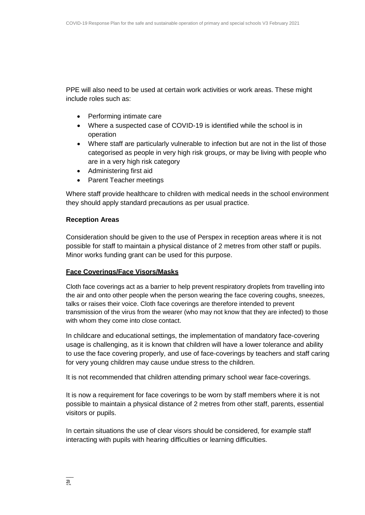PPE will also need to be used at certain work activities or work areas. These might include roles such as:

- Performing intimate care
- Where a suspected case of COVID-19 is identified while the school is in operation
- Where staff are particularly vulnerable to infection but are not in the list of those categorised as people in very high risk groups, or may be living with people who are in a very high risk category
- Administering first aid
- Parent Teacher meetings

Where staff provide healthcare to children with medical needs in the school environment they should apply standard precautions as per usual practice.

#### **Reception Areas**

Consideration should be given to the use of Perspex in reception areas where it is not possible for staff to maintain a physical distance of 2 metres from other staff or pupils. Minor works funding grant can be used for this purpose.

#### **Face Coverings/Face Visors/Masks**

Cloth face coverings act as a barrier to help prevent respiratory droplets from travelling into the air and onto other people when the person wearing the face covering coughs, sneezes, talks or raises their voice. Cloth face coverings are therefore intended to prevent transmission of the virus from the wearer (who may not know that they are infected) to those with whom they come into close contact.

In childcare and educational settings, the implementation of mandatory face-covering usage is challenging, as it is known that children will have a lower tolerance and ability to use the face covering properly, and use of face-coverings by teachers and staff caring for very young children may cause undue stress to the children.

It is not recommended that children attending primary school wear face-coverings.

It is now a requirement for face coverings to be worn by staff members where it is not possible to maintain a physical distance of 2 metres from other staff, parents, essential visitors or pupils.

In certain situations the use of clear visors should be considered, for example staff interacting with pupils with hearing difficulties or learning difficulties.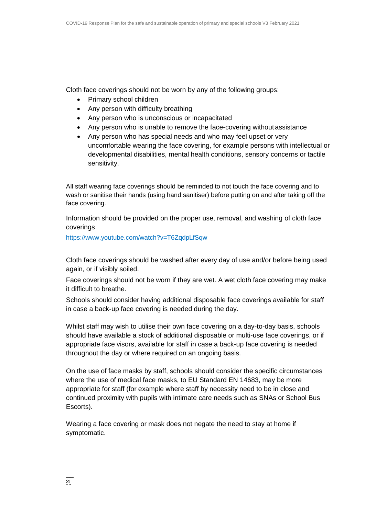Cloth face coverings should not be worn by any of the following groups:

- Primary school children
- Any person with difficulty breathing
- Any person who is unconscious or incapacitated
- Any person who is unable to remove the face-covering without assistance
- Any person who has special needs and who may feel upset or very uncomfortable wearing the face covering, for example persons with intellectual or developmental disabilities, mental health conditions, sensory concerns or tactile sensitivity.

All staff wearing face coverings should be reminded to not touch the face covering and to wash or sanitise their hands (using hand sanitiser) before putting on and after taking off the face covering.

Information should be provided on the proper use, removal, and washing of cloth face coverings

<https://www.youtube.com/watch?v=T6ZqdpLfSqw>

Cloth face coverings should be washed after every day of use and/or before being used again, or if visibly soiled.

Face coverings should not be worn if they are wet. A wet cloth face covering may make it difficult to breathe.

Schools should consider having additional disposable face coverings available for staff in case a back-up face covering is needed during the day.

Whilst staff may wish to utilise their own face covering on a day-to-day basis, schools should have available a stock of additional disposable or multi-use face coverings, or if appropriate face visors, available for staff in case a back-up face covering is needed throughout the day or where required on an ongoing basis.

On the use of face masks by staff, schools should consider the specific circumstances where the use of medical face masks, to EU Standard EN 14683, may be more appropriate for staff (for example where staff by necessity need to be in close and continued proximity with pupils with intimate care needs such as SNAs or School Bus Escorts).

Wearing a face covering or mask does not negate the need to stay at home if symptomatic.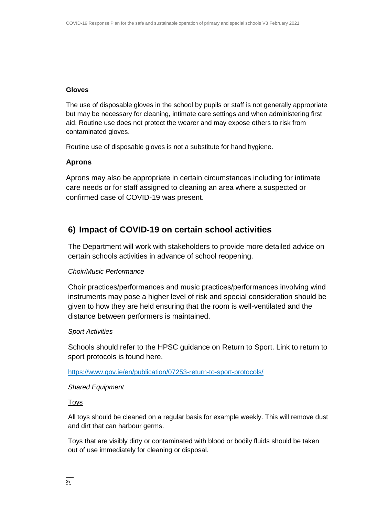#### **Gloves**

The use of disposable gloves in the school by pupils or staff is not generally appropriate but may be necessary for cleaning, intimate care settings and when administering first aid. Routine use does not protect the wearer and may expose others to risk from contaminated gloves.

Routine use of disposable gloves is not a substitute for hand hygiene.

### **Aprons**

Aprons may also be appropriate in certain circumstances including for intimate care needs or for staff assigned to cleaning an area where a suspected or confirmed case of COVID-19 was present.

### **6) Impact of COVID-19 on certain school activities**

The Department will work with stakeholders to provide more detailed advice on certain schools activities in advance of school reopening.

#### *Choir/Music Performance*

Choir practices/performances and music practices/performances involving wind instruments may pose a higher level of risk and special consideration should be given to how they are held ensuring that the room is well-ventilated and the distance between performers is maintained.

#### *Sport Activities*

Schools should refer to the HPSC guidance on Return to Sport. Link to return to sport protocols is found here.

<https://www.gov.ie/en/publication/07253-return-to-sport-protocols/>

#### *Shared Equipment*

#### Toys

All toys should be cleaned on a regular basis for example weekly. This will remove dust and dirt that can harbour germs.

Toys that are visibly dirty or contaminated with blood or bodily fluids should be taken out of use immediately for cleaning or disposal.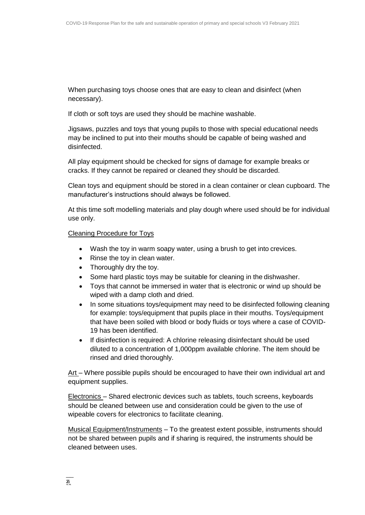When purchasing toys choose ones that are easy to clean and disinfect (when necessary).

If cloth or soft toys are used they should be machine washable.

Jigsaws, puzzles and toys that young pupils to those with special educational needs may be inclined to put into their mouths should be capable of being washed and disinfected.

All play equipment should be checked for signs of damage for example breaks or cracks. If they cannot be repaired or cleaned they should be discarded.

Clean toys and equipment should be stored in a clean container or clean cupboard. The manufacturer's instructions should always be followed.

At this time soft modelling materials and play dough where used should be for individual use only.

#### Cleaning Procedure for Toys

- Wash the toy in warm soapy water, using a brush to get into crevices.
- Rinse the toy in clean water.
- Thoroughly dry the toy.
- Some hard plastic toys may be suitable for cleaning in the dishwasher.
- Toys that cannot be immersed in water that is electronic or wind up should be wiped with a damp cloth and dried.
- In some situations toys/equipment may need to be disinfected following cleaning for example: toys/equipment that pupils place in their mouths. Toys/equipment that have been soiled with blood or body fluids or toys where a case of COVID-19 has been identified.
- If disinfection is required: A chlorine releasing disinfectant should be used diluted to a concentration of 1,000ppm available chlorine. The item should be rinsed and dried thoroughly.

Art – Where possible pupils should be encouraged to have their own individual art and equipment supplies.

Electronics – Shared electronic devices such as tablets, touch screens, keyboards should be cleaned between use and consideration could be given to the use of wipeable covers for electronics to facilitate cleaning.

Musical Equipment/Instruments - To the greatest extent possible, instruments should not be shared between pupils and if sharing is required, the instruments should be cleaned between uses.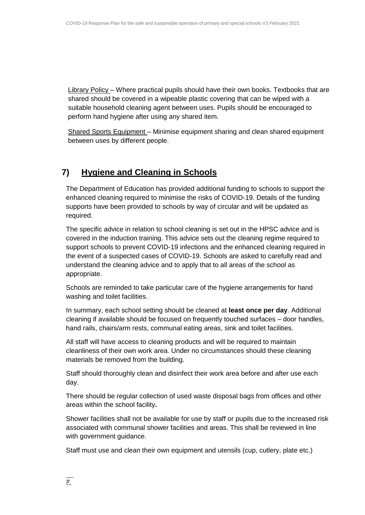Library Policy – Where practical pupils should have their own books. Textbooks that are shared should be covered in a wipeable plastic covering that can be wiped with a suitable household cleaning agent between uses. Pupils should be encouraged to perform hand hygiene after using any shared item.

Shared Sports Equipment – Minimise equipment sharing and clean shared equipment between uses by different people.

### **7) Hygiene and Cleaning in Schools**

The Department of Education has provided additional funding to schools to support the enhanced cleaning required to minimise the risks of COVID-19. Details of the funding supports have been provided to schools by way of circular and will be updated as required.

The specific advice in relation to school cleaning is set out in the HPSC advice and is covered in the induction training. This advice sets out the cleaning regime required to support schools to prevent COVID-19 infections and the enhanced cleaning required in the event of a suspected cases of COVID-19. Schools are asked to carefully read and understand the cleaning advice and to apply that to all areas of the school as appropriate.

Schools are reminded to take particular care of the hygiene arrangements for hand washing and toilet facilities.

In summary, each school setting should be cleaned at **least once per day**. Additional cleaning if available should be focused on frequently touched surfaces – door handles, hand rails, chairs/arm rests, communal eating areas, sink and toilet facilities.

All staff will have access to cleaning products and will be required to maintain cleanliness of their own work area. Under no circumstances should these cleaning materials be removed from the building.

Staff should thoroughly clean and disinfect their work area before and after use each day.

There should be regular collection of used waste disposal bags from offices and other areas within the school facility**.**

Shower facilities shall not be available for use by staff or pupils due to the increased risk associated with communal shower facilities and areas. This shall be reviewed in line with government guidance.

Staff must use and clean their own equipment and utensils (cup, cutlery, plate etc.)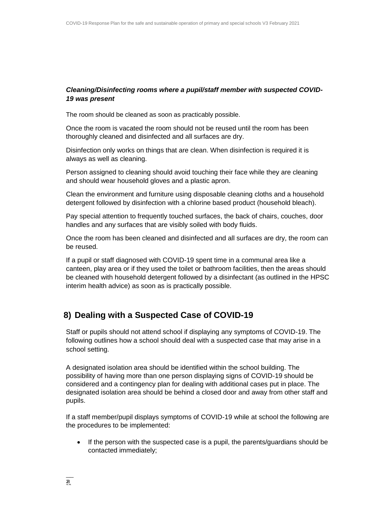### *Cleaning/Disinfecting rooms where a pupil/staff member with suspected COVID-19 was present*

The room should be cleaned as soon as practicably possible.

Once the room is vacated the room should not be reused until the room has been thoroughly cleaned and disinfected and all surfaces are dry.

Disinfection only works on things that are clean. When disinfection is required it is always as well as cleaning.

Person assigned to cleaning should avoid touching their face while they are cleaning and should wear household gloves and a plastic apron.

Clean the environment and furniture using disposable cleaning cloths and a household detergent followed by disinfection with a chlorine based product (household bleach).

Pay special attention to frequently touched surfaces, the back of chairs, couches, door handles and any surfaces that are visibly soiled with body fluids.

Once the room has been cleaned and disinfected and all surfaces are dry, the room can be reused.

If a pupil or staff diagnosed with COVID-19 spent time in a communal area like a canteen, play area or if they used the toilet or bathroom facilities, then the areas should be cleaned with household detergent followed by a disinfectant (as outlined in the HPSC interim health advice) as soon as is practically possible.

### **8) Dealing with a Suspected Case of COVID-19**

Staff or pupils should not attend school if displaying any symptoms of COVID-19. The following outlines how a school should deal with a suspected case that may arise in a school setting.

A designated isolation area should be identified within the school building. The possibility of having more than one person displaying signs of COVID-19 should be considered and a contingency plan for dealing with additional cases put in place. The designated isolation area should be behind a closed door and away from other staff and pupils.

If a staff member/pupil displays symptoms of COVID-19 while at school the following are the procedures to be implemented:

• If the person with the suspected case is a pupil, the parents/guardians should be contacted immediately;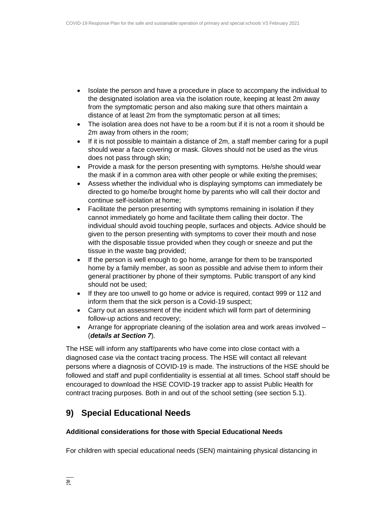- Isolate the person and have a procedure in place to accompany the individual to the designated isolation area via the isolation route, keeping at least 2m away from the symptomatic person and also making sure that others maintain a distance of at least 2m from the symptomatic person at all times;
- The isolation area does not have to be a room but if it is not a room it should be 2m away from others in the room;
- If it is not possible to maintain a distance of 2m, a staff member caring for a pupil should wear a face covering or mask. Gloves should not be used as the virus does not pass through skin;
- Provide a mask for the person presenting with symptoms. He/she should wear the mask if in a common area with other people or while exiting the premises;
- Assess whether the individual who is displaying symptoms can immediately be directed to go home/be brought home by parents who will call their doctor and continue self-isolation at home;
- Facilitate the person presenting with symptoms remaining in isolation if they cannot immediately go home and facilitate them calling their doctor. The individual should avoid touching people, surfaces and objects. Advice should be given to the person presenting with symptoms to cover their mouth and nose with the disposable tissue provided when they cough or sneeze and put the tissue in the waste bag provided;
- If the person is well enough to go home, arrange for them to be transported home by a family member, as soon as possible and advise them to inform their general practitioner by phone of their symptoms. Public transport of any kind should not be used;
- If they are too unwell to go home or advice is required, contact 999 or 112 and inform them that the sick person is a Covid-19 suspect;
- Carry out an assessment of the incident which will form part of determining follow-up actions and recovery;
- Arrange for appropriate cleaning of the isolation area and work areas involved (*details at Section 7*).

The HSE will inform any staff/parents who have come into close contact with a diagnosed case via the contact tracing process. The HSE will contact all relevant persons where a diagnosis of COVID-19 is made. The instructions of the HSE should be followed and staff and pupil confidentiality is essential at all times. School staff should be encouraged to download the HSE COVID-19 tracker app to assist Public Health for contract tracing purposes. Both in and out of the school setting (see section 5.1).

### **9) Special Educational Needs**

### **Additional considerations for those with Special Educational Needs**

For children with special educational needs (SEN) maintaining physical distancing in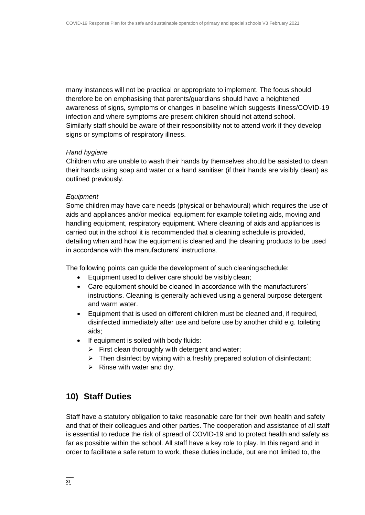many instances will not be practical or appropriate to implement. The focus should therefore be on emphasising that parents/guardians should have a heightened awareness of signs, symptoms or changes in baseline which suggests illness/COVID-19 infection and where symptoms are present children should not attend school. Similarly staff should be aware of their responsibility not to attend work if they develop signs or symptoms of respiratory illness.

#### *Hand hygiene*

Children who are unable to wash their hands by themselves should be assisted to clean their hands using soap and water or a hand sanitiser (if their hands are visibly clean) as outlined previously.

#### *Equipment*

Some children may have care needs (physical or behavioural) which requires the use of aids and appliances and/or medical equipment for example toileting aids, moving and handling equipment, respiratory equipment. Where cleaning of aids and appliances is carried out in the school it is recommended that a cleaning schedule is provided, detailing when and how the equipment is cleaned and the cleaning products to be used in accordance with the manufacturers' instructions.

The following points can guide the development of such cleaningschedule:

- Equipment used to deliver care should be visibly clean;
- Care equipment should be cleaned in accordance with the manufacturers' instructions. Cleaning is generally achieved using a general purpose detergent and warm water.
- Equipment that is used on different children must be cleaned and, if required, disinfected immediately after use and before use by another child e.g. toileting aids;
- If equipment is soiled with body fluids:
	- $\triangleright$  First clean thoroughly with detergent and water;
	- $\triangleright$  Then disinfect by wiping with a freshly prepared solution of disinfectant;
	- $\triangleright$  Rinse with water and dry.

### **10) Staff Duties**

Staff have a statutory obligation to take reasonable care for their own health and safety and that of their colleagues and other parties. The cooperation and assistance of all staff is essential to reduce the risk of spread of COVID-19 and to protect health and safety as far as possible within the school. All staff have a key role to play. In this regard and in order to facilitate a safe return to work, these duties include, but are not limited to, the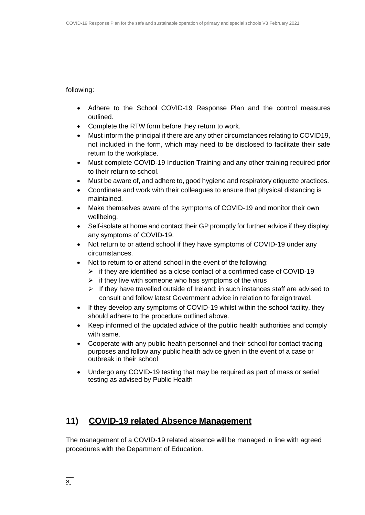### following:

- Adhere to the School COVID-19 Response Plan and the control measures outlined.
- Complete the RTW form before they return to work.
- Must inform the principal if there are any other circumstances relating to COVID19, not included in the form, which may need to be disclosed to facilitate their safe return to the workplace.
- Must complete COVID-19 Induction Training and any other training required prior to their return to school.
- Must be aware of, and adhere to, good hygiene and respiratory etiquette practices.
- Coordinate and work with their colleagues to ensure that physical distancing is maintained.
- Make themselves aware of the symptoms of COVID-19 and monitor their own wellbeing.
- Self-isolate at home and contact their GP promptly for further advice if they display any symptoms of COVID-19.
- Not return to or attend school if they have symptoms of COVID-19 under any circumstances.
- Not to return to or attend school in the event of the following:
	- $\triangleright$  if they are identified as a close contact of a confirmed case of COVID-19
	- $\triangleright$  if they live with someone who has symptoms of the virus
	- $\triangleright$  If they have travelled outside of Ireland; in such instances staff are advised to consult and follow latest Government advice in relation to foreign travel.
- If they develop any symptoms of COVID-19 whilst within the school facility, they should adhere to the procedure outlined above.
- Keep informed of the updated advice of the publ**ic** health authorities and comply with same.
- Cooperate with any public health personnel and their school for contact tracing purposes and follow any public health advice given in the event of a case or outbreak in their school
- Undergo any COVID-19 testing that may be required as part of mass or serial testing as advised by Public Health

### **11) COVID-19 related Absence Management**

The management of a COVID-19 related absence will be managed in line with agreed procedures with the Department of Education.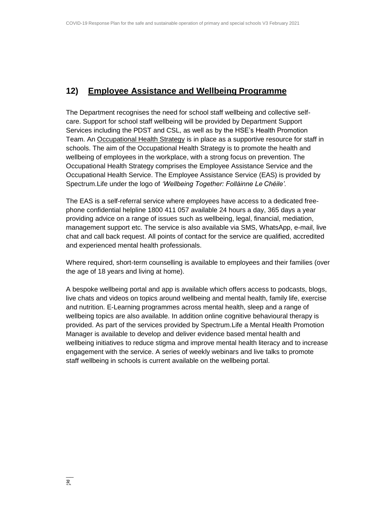### **12) Employee Assistance and Wellbeing Programme**

The Department recognises the need for school staff wellbeing and collective selfcare. Support for school staff wellbeing will be provided by Department Support Services including the PDST and CSL, as well as by the HSE's Health Promotion Team. An [Occupational Health Strategy](https://www.education.ie/en/Education-Staff/Information/Occupational-Health-Strategy/) is in place as a supportive resource for staff in schools. The aim of the Occupational Health Strategy is to promote the health and wellbeing of employees in the workplace, with a strong focus on prevention. The Occupational Health Strategy comprises the Employee Assistance Service and the Occupational Health Service. The Employee Assistance Service (EAS) is provided by Spectrum.Life under the logo of *'Wellbeing Together: Folláinne Le Chéile'.*

The EAS is a self-referral service where employees have access to a dedicated freephone confidential helpline 1800 411 057 available 24 hours a day, 365 days a year providing advice on a range of issues such as wellbeing, legal, financial, mediation, management support etc. The service is also available via SMS, WhatsApp, e-mail, live chat and call back request. All points of contact for the service are qualified, accredited and experienced mental health professionals.

Where required, short-term counselling is available to employees and their families (over the age of 18 years and living at home).

A bespoke wellbeing portal and app is available which offers access to podcasts, blogs, live chats and videos on topics around wellbeing and mental health, family life, exercise and nutrition. E-Learning programmes across mental health, sleep and a range of wellbeing topics are also available. In addition online cognitive behavioural therapy is provided. As part of the services provided by Spectrum.Life a Mental Health Promotion Manager is available to develop and deliver evidence based mental health and wellbeing initiatives to reduce stigma and improve mental health literacy and to increase engagement with the service. A series of weekly webinars and live talks to promote staff wellbeing in schools is current available on the wellbeing portal.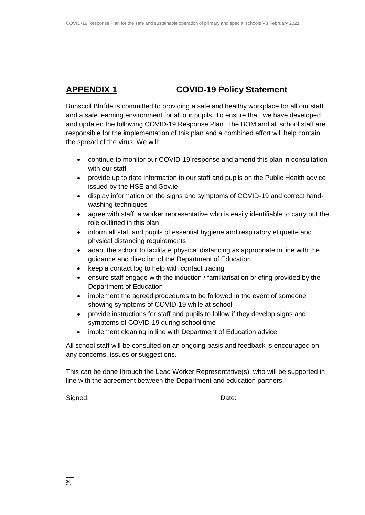### **APPENDIX 1 COVID-19 Policy Statement**

Bunscoil Bhríde is committed to providing a safe and healthy workplace for all our staff and a safe learning environment for all our pupils. To ensure that, we have developed and updated the following COVID-19 Response Plan. The BOM and all school staff are responsible for the implementation of this plan and a combined effort will help contain the spread of the virus. We will:

- continue to monitor our COVID-19 response and amend this plan in consultation with our staff
- provide up to date information to our staff and pupils on the Public Health advice issued by the HSE and Gov.ie
- display information on the signs and symptoms of COVID-19 and correct handwashing techniques
- agree with staff, a worker representative who is easily identifiable to carry out the role outlined in this plan
- inform all staff and pupils of essential hygiene and respiratory etiquette and physical distancing requirements
- adapt the school to facilitate physical distancing as appropriate in line with the guidance and direction of the Department of Education
- keep a contact log to help with contact tracing
- ensure staff engage with the induction / familiarisation briefing provided by the Department of Education
- implement the agreed procedures to be followed in the event of someone showing symptoms of COVID-19 while at school
- provide instructions for staff and pupils to follow if they develop signs and symptoms of COVID-19 during school time
- implement cleaning in line with Department of Education advice

All school staff will be consulted on an ongoing basis and feedback is encouraged on any concerns, issues or suggestions.

This can be done through the Lead Worker Representative(s), who will be supported in line with the agreement between the Department and education partners.

Signed: Signed: Signed: Signed: Signed: Signed: Signed: Signed: Signed: Signed: Signed: Signed: Signed: Signed: Signed: Signed: Signed: Signed: Signed: Signed: Signed: Signed: Signed: Signed: Signed: Signed: Signed: Signed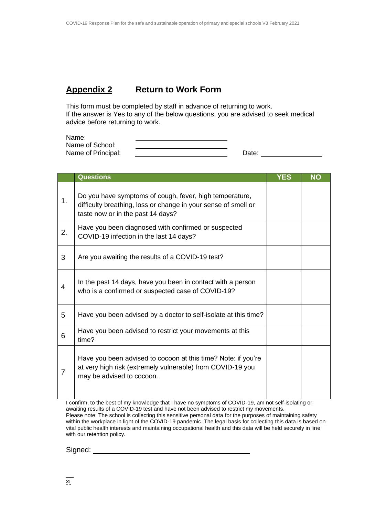### **Appendix 2 Return to Work Form**

This form must be completed by staff in advance of returning to work. If the answer is Yes to any of the below questions, you are advised to seek medical advice before returning to work.

| Name:              |       |
|--------------------|-------|
| Name of School:    |       |
| Name of Principal: | Date: |

|    | <b>Questions</b>                                                                                                                                               | <b>YES</b> | <b>NO</b> |
|----|----------------------------------------------------------------------------------------------------------------------------------------------------------------|------------|-----------|
| 1. | Do you have symptoms of cough, fever, high temperature,<br>difficulty breathing, loss or change in your sense of smell or<br>taste now or in the past 14 days? |            |           |
| 2. | Have you been diagnosed with confirmed or suspected<br>COVID-19 infection in the last 14 days?                                                                 |            |           |
| 3  | Are you awaiting the results of a COVID-19 test?                                                                                                               |            |           |
| 4  | In the past 14 days, have you been in contact with a person<br>who is a confirmed or suspected case of COVID-19?                                               |            |           |
| 5  | Have you been advised by a doctor to self-isolate at this time?                                                                                                |            |           |
| 6  | Have you been advised to restrict your movements at this<br>time?                                                                                              |            |           |
| 7  | Have you been advised to cocoon at this time? Note: if you're<br>at very high risk (extremely vulnerable) from COVID-19 you<br>may be advised to cocoon.       |            |           |

I confirm, to the best of my knowledge that I have no symptoms of COVID-19, am not self-isolating or awaiting results of a COVID-19 test and have not been advised to restrict my movements. Please note: The school is collecting this sensitive personal data for the purposes of maintaining safety within the workplace in light of the COVID-19 pandemic. The legal basis for collecting this data is based on vital public health interests and maintaining occupational health and this data will be held securely in line with our retention policy.

Signed: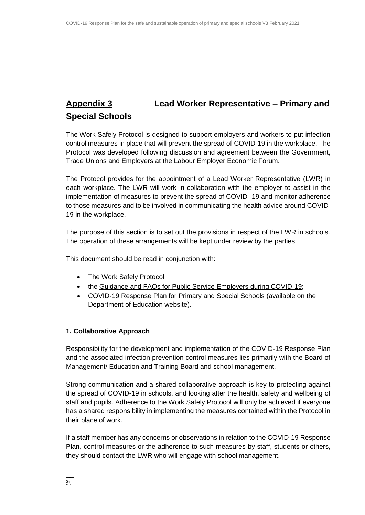## **Appendix 3 Lead Worker Representative – Primary and Special Schools**

The Work Safely Protocol is designed to support employers and workers to put infection control measures in place that will prevent the spread of COVID-19 in the workplace. The Protocol was developed following discussion and agreement between the Government, Trade Unions and Employers at the Labour Employer Economic Forum.

The Protocol provides for the appointment of a Lead Worker Representative (LWR) in each workplace. The LWR will work in collaboration with the employer to assist in the implementation of measures to prevent the spread of COVID -19 and monitor adherence to those measures and to be involved in communicating the health advice around COVID-19 in the workplace.

The purpose of this section is to set out the provisions in respect of the LWR in schools. The operation of these arrangements will be kept under review by the parties.

This document should be read in conjunction with:

- The Work Safely Protocol.
- the [Guidance and FAQs for Public Service Employers during](https://www.gov.ie/en/news/092fff-update-on-working-arrangements-and-leave-associated-with-covid-19-fo/) COVID-19;
- COVID-19 Response Plan for Primary and Special Schools (available on the Department of Education website).

#### **1. Collaborative Approach**

Responsibility for the development and implementation of the COVID-19 Response Plan and the associated infection prevention control measures lies primarily with the Board of Management/ Education and Training Board and school management.

Strong communication and a shared collaborative approach is key to protecting against the spread of COVID-19 in schools, and looking after the health, safety and wellbeing of staff and pupils. Adherence to the Work Safely Protocol will only be achieved if everyone has a shared responsibility in implementing the measures contained within the Protocol in their place of work.

If a staff member has any concerns or observations in relation to the COVID-19 Response Plan, control measures or the adherence to such measures by staff, students or others, they should contact the LWR who will engage with school management.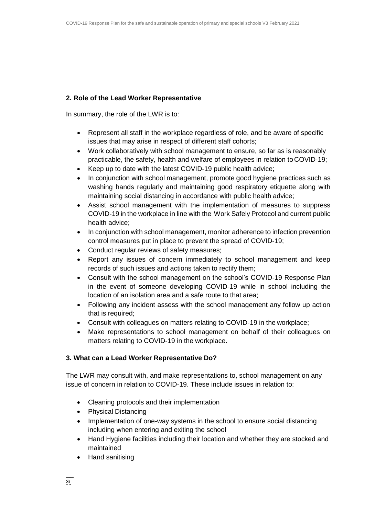### **2. Role of the Lead Worker Representative**

In summary, the role of the LWR is to:

- Represent all staff in the workplace regardless of role, and be aware of specific issues that may arise in respect of different staff cohorts;
- Work collaboratively with school management to ensure, so far as is reasonably practicable, the safety, health and welfare of employees in relation to COVID-19;
- Keep up to date with the latest COVID-19 public health advice;
- In conjunction with school management, promote good hygiene practices such as washing hands regularly and maintaining good respiratory etiquette along with maintaining social distancing in accordance with public health advice;
- Assist school management with the implementation of measures to suppress COVID-19 in the workplace in line with the Work Safely Protocol and current public health advice;
- In conjunction with school management, monitor adherence to infection prevention control measures put in place to prevent the spread of COVID-19;
- Conduct regular reviews of safety measures;
- Report any issues of concern immediately to school management and keep records of such issues and actions taken to rectify them;
- Consult with the school management on the school's COVID-19 Response Plan in the event of someone developing COVID-19 while in school including the location of an isolation area and a safe route to that area;
- Following any incident assess with the school management any follow up action that is required;
- Consult with colleagues on matters relating to COVID-19 in the workplace;
- Make representations to school management on behalf of their colleagues on matters relating to COVID-19 in the workplace.

### **3. What can a Lead Worker Representative Do?**

The LWR may consult with, and make representations to, school management on any issue of concern in relation to COVID-19. These include issues in relation to:

- Cleaning protocols and their implementation
- Physical Distancing
- Implementation of one-way systems in the school to ensure social distancing including when entering and exiting the school
- Hand Hygiene facilities including their location and whether they are stocked and maintained
- Hand sanitising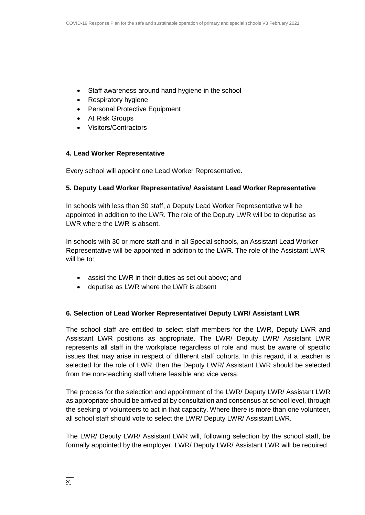- Staff awareness around hand hygiene in the school
- Respiratory hygiene
- Personal Protective Equipment
- At Risk Groups
- Visitors/Contractors

### **4. Lead Worker Representative**

Every school will appoint one Lead Worker Representative.

### **5. Deputy Lead Worker Representative/ Assistant Lead Worker Representative**

In schools with less than 30 staff, a Deputy Lead Worker Representative will be appointed in addition to the LWR. The role of the Deputy LWR will be to deputise as LWR where the LWR is absent.

In schools with 30 or more staff and in all Special schools, an Assistant Lead Worker Representative will be appointed in addition to the LWR. The role of the Assistant LWR will be to:

- assist the LWR in their duties as set out above; and
- deputise as LWR where the LWR is absent

### **6. Selection of Lead Worker Representative/ Deputy LWR/ Assistant LWR**

The school staff are entitled to select staff members for the LWR, Deputy LWR and Assistant LWR positions as appropriate. The LWR/ Deputy LWR/ Assistant LWR represents all staff in the workplace regardless of role and must be aware of specific issues that may arise in respect of different staff cohorts. In this regard, if a teacher is selected for the role of LWR, then the Deputy LWR/ Assistant LWR should be selected from the non-teaching staff where feasible and vice versa.

The process for the selection and appointment of the LWR/ Deputy LWR/ Assistant LWR as appropriate should be arrived at by consultation and consensus at school level, through the seeking of volunteers to act in that capacity. Where there is more than one volunteer, all school staff should vote to select the LWR/ Deputy LWR/ Assistant LWR.

The LWR/ Deputy LWR/ Assistant LWR will, following selection by the school staff, be formally appointed by the employer. LWR/ Deputy LWR/ Assistant LWR will be required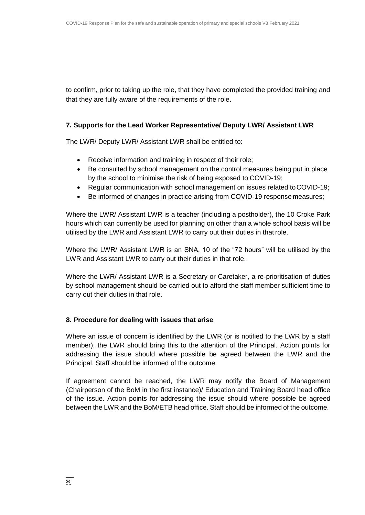to confirm, prior to taking up the role, that they have completed the provided training and that they are fully aware of the requirements of the role.

### **7. Supports for the Lead Worker Representative/ Deputy LWR/ Assistant LWR**

The LWR/ Deputy LWR/ Assistant LWR shall be entitled to:

- Receive information and training in respect of their role;
- Be consulted by school management on the control measures being put in place by the school to minimise the risk of being exposed to COVID-19;
- Regular communication with school management on issues related toCOVID-19;
- Be informed of changes in practice arising from COVID-19 response measures;

Where the LWR/ Assistant LWR is a teacher (including a postholder), the 10 Croke Park hours which can currently be used for planning on other than a whole school basis will be utilised by the LWR and Assistant LWR to carry out their duties in thatrole.

Where the LWR/ Assistant LWR is an SNA, 10 of the "72 hours" will be utilised by the LWR and Assistant LWR to carry out their duties in that role.

Where the LWR/ Assistant LWR is a Secretary or Caretaker, a re-prioritisation of duties by school management should be carried out to afford the staff member sufficient time to carry out their duties in that role.

#### **8. Procedure for dealing with issues that arise**

Where an issue of concern is identified by the LWR (or is notified to the LWR by a staff member), the LWR should bring this to the attention of the Principal. Action points for addressing the issue should where possible be agreed between the LWR and the Principal. Staff should be informed of the outcome.

If agreement cannot be reached, the LWR may notify the Board of Management (Chairperson of the BoM in the first instance)/ Education and Training Board head office of the issue. Action points for addressing the issue should where possible be agreed between the LWR and the BoM/ETB head office. Staff should be informed of the outcome.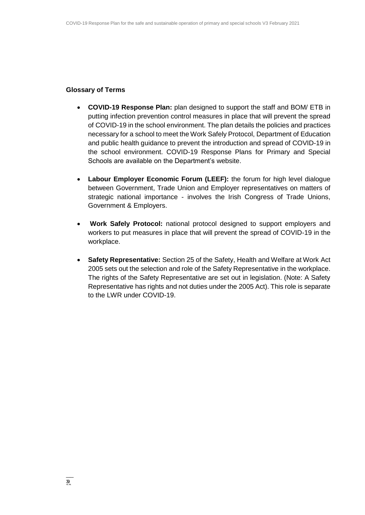#### **Glossary of Terms**

- **COVID-19 Response Plan:** plan designed to support the staff and BOM/ ETB in putting infection prevention control measures in place that will prevent the spread of COVID-19 in the school environment. The plan details the policies and practices necessary for a school to meet the Work Safely Protocol, Department of Education and public health guidance to prevent the introduction and spread of COVID-19 in the school environment. COVID-19 Response Plans for Primary and Special Schools are available on the Department's website.
- **Labour Employer Economic Forum (LEEF):** the forum for high level dialogue between Government, Trade Union and Employer representatives on matters of strategic national importance - involves the Irish Congress of Trade Unions, Government & Employers.
- **Work Safely Protocol:** national protocol designed to support employers and workers to put measures in place that will prevent the spread of COVID-19 in the workplace.
- **Safety Representative:** Section 25 of the Safety, Health and Welfare at Work Act 2005 sets out the selection and role of the Safety Representative in the workplace. The rights of the Safety Representative are set out in legislation. (Note: A Safety Representative has rights and not duties under the 2005 Act). This role is separate to the LWR under COVID-19.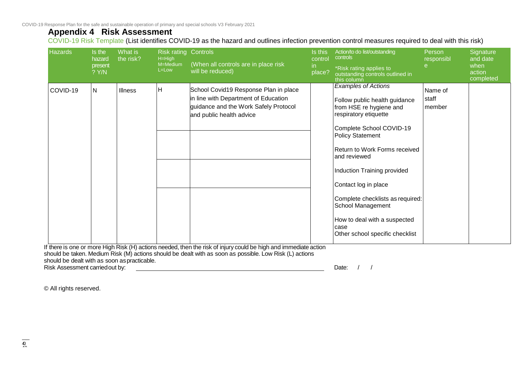COVID-19 Response Plan for the safe and sustainable operation of primary and special schools V3 February 2021

### **Appendix 4 Risk Assessment**

COVID-19 Risk Template (List identifies COVID-19 as the hazard and outlines infection prevention control measures required to deal with this risk)

| <b>Hazards</b>                               | Is the<br>hazard<br>present<br>? Y/N | What is<br>the risk? | <b>Risk rating Controls</b><br>H=High<br>M=Medium<br>L=Low | (When all controls are in place risk<br>will be reduced)                                                                                                                                                                    | Is this<br>control<br>in.<br>place? | Action/to do list/outstanding<br>controls<br>*Risk rating applies to<br>outstanding controls outlined in<br>this column                                                                                                                                                                                                                                                                                            | Person<br>responsibl<br>e  | Signature<br>and date<br>when<br>action<br>completed |
|----------------------------------------------|--------------------------------------|----------------------|------------------------------------------------------------|-----------------------------------------------------------------------------------------------------------------------------------------------------------------------------------------------------------------------------|-------------------------------------|--------------------------------------------------------------------------------------------------------------------------------------------------------------------------------------------------------------------------------------------------------------------------------------------------------------------------------------------------------------------------------------------------------------------|----------------------------|------------------------------------------------------|
| COVID-19                                     | N.                                   | <b>Illness</b>       | ΙH                                                         | School Covid19 Response Plan in place<br>in line with Department of Education<br>guidance and the Work Safely Protocol<br>and public health advice                                                                          |                                     | <b>Examples of Actions</b><br>Follow public health guidance<br>from HSE re hygiene and<br>respiratory etiquette<br>Complete School COVID-19<br><b>Policy Statement</b><br>Return to Work Forms received<br>and reviewed<br>Induction Training provided<br>Contact log in place<br>Complete checklists as required:<br>School Management<br>How to deal with a suspected<br>case<br>Other school specific checklist | Name of<br>staff<br>member |                                                      |
| should be dealt with as soon as practicable. |                                      |                      |                                                            | If there is one or more High Risk (H) actions needed, then the risk of injury could be high and immediate action<br>should be taken. Medium Risk (M) actions should be dealt with as soon as possible. Low Risk (L) actions |                                     |                                                                                                                                                                                                                                                                                                                                                                                                                    |                            |                                                      |

Risk Assessment carried out by:  $\qquad \qquad$ 

© All rights reserved.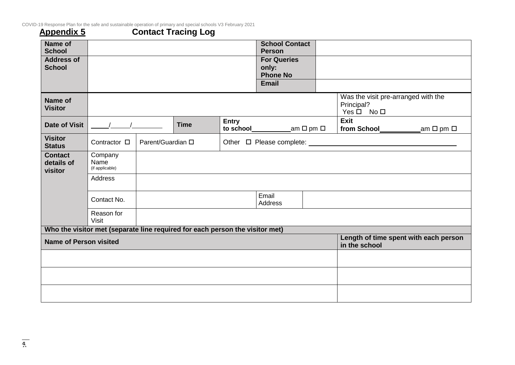COVID-19 Response Plan for the safe and sustainable operation of primary and special schools V3 February 2021

### **Appendix 5 Contact Tracing Log**

| <b>Name of</b><br><b>School</b>         |                                                                              |                   |             |              | <b>School Contact</b><br><b>Person</b>         |  |                                                                         |                           |
|-----------------------------------------|------------------------------------------------------------------------------|-------------------|-------------|--------------|------------------------------------------------|--|-------------------------------------------------------------------------|---------------------------|
| <b>Address of</b><br><b>School</b>      |                                                                              |                   |             |              | <b>For Queries</b><br>only:<br><b>Phone No</b> |  |                                                                         |                           |
|                                         |                                                                              |                   |             |              | Email                                          |  |                                                                         |                           |
| Name of<br><b>Visitor</b>               |                                                                              |                   |             |              |                                                |  | Was the visit pre-arranged with the<br>Principal?<br>$Yes \Box No \Box$ |                           |
| <b>Date of Visit</b>                    |                                                                              |                   | <b>Time</b> | <b>Entry</b> | to school____________am □ pm □                 |  | Exit<br>from School__________                                           | am $\square$ pm $\square$ |
| <b>Visitor</b><br><b>Status</b>         | Contractor □                                                                 | Parent/Guardian □ |             |              |                                                |  |                                                                         |                           |
| <b>Contact</b><br>details of<br>visitor | Company<br>Name<br>(if applicable)                                           |                   |             |              |                                                |  |                                                                         |                           |
|                                         | Address                                                                      |                   |             |              |                                                |  |                                                                         |                           |
|                                         | Contact No.                                                                  |                   |             |              | Email<br>Address                               |  |                                                                         |                           |
|                                         | Reason for<br><b>Visit</b>                                                   |                   |             |              |                                                |  |                                                                         |                           |
|                                         | Who the visitor met (separate line required for each person the visitor met) |                   |             |              |                                                |  |                                                                         |                           |
| <b>Name of Person visited</b>           |                                                                              |                   |             |              |                                                |  | Length of time spent with each person<br>in the school                  |                           |
|                                         |                                                                              |                   |             |              |                                                |  |                                                                         |                           |
|                                         |                                                                              |                   |             |              |                                                |  |                                                                         |                           |
|                                         |                                                                              |                   |             |              |                                                |  |                                                                         |                           |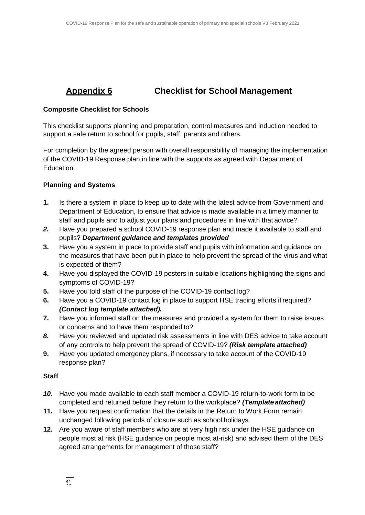### **Appendix 6 Checklist for School Management**

### **Composite Checklist for Schools**

This checklist supports planning and preparation, control measures and induction needed to support a safe return to school for pupils, staff, parents and others.

For completion by the agreed person with overall responsibility of managing the implementation of the COVID-19 Response plan in line with the supports as agreed with Department of Education.

### **Planning and Systems**

- **1.** Is there a system in place to keep up to date with the latest advice from Government and Department of Education, to ensure that advice is made available in a timely manner to staff and pupils and to adjust your plans and procedures in line with that advice?
- *2.* Have you prepared a school COVID-19 response plan and made it available to staff and pupils? *Department guidance and templates provided*
- **3.** Have you a system in place to provide staff and pupils with information and guidance on the measures that have been put in place to help prevent the spread of the virus and what is expected of them?
- **4.** Have you displayed the COVID-19 posters in suitable locations highlighting the signs and symptoms of COVID-19?
- **5.** Have you told staff of the purpose of the COVID-19 contact log?
- **6.** Have you a COVID-19 contact log in place to support HSE tracing efforts if required? *(Contact log template attached).*
- **7.** Have you informed staff on the measures and provided a system for them to raise issues or concerns and to have them responded to?
- *8.* Have you reviewed and updated risk assessments in line with DES advice to take account of any controls to help prevent the spread of COVID-19? *(Risk template attached)*
- **9.** Have you updated emergency plans, if necessary to take account of the COVID-19 response plan?

### **Staff**

- *10.* Have you made available to each staff member a COVID-19 return-to-work form to be completed and returned before they return to the workplace? *(Template attached)*
- **11.** Have you request confirmation that the details in the Return to Work Form remain unchanged following periods of closure such as school holidays.
- **12.** Are you aware of staff members who are at very high risk under the HSE guidance on people most at risk (HSE guidance on people most at-risk) and advised them of the DES agreed arrangements for management of those staff?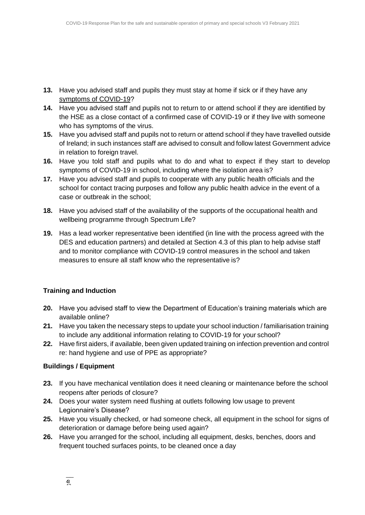- **13.** Have you advised staff and pupils they must stay at home if sick or if they have any [symptoms of COVID-19?](https://www2.hse.ie/conditions/coronavirus/symptoms.html)
- **14.** Have you advised staff and pupils not to return to or attend school if they are identified by the HSE as a close contact of a confirmed case of COVID-19 or if they live with someone who has symptoms of the virus.
- **15.** Have you advised staff and pupils not to return or attend school if they have travelled outside of Ireland; in such instances staff are advised to consult and follow latest Government advice in relation to foreign travel.
- **16.** Have you told staff and pupils what to do and what to expect if they start to develop symptoms of COVID-19 in school, including where the isolation area is?
- **17.** Have you advised staff and pupils to cooperate with any public health officials and the school for contact tracing purposes and follow any public health advice in the event of a case or outbreak in the school;
- **18.** Have you advised staff of the availability of the supports of the occupational health and wellbeing programme through Spectrum Life?
- **19.** Has a lead worker representative been identified (in line with the process agreed with the DES and education partners) and detailed at Section 4.3 of this plan to help advise staff and to monitor compliance with COVID-19 control measures in the school and taken measures to ensure all staff know who the representative is?

### **Training and Induction**

- **20.** Have you advised staff to view the Department of Education's training materials which are available online?
- **21.** Have you taken the necessary steps to update your school induction / familiarisation training to include any additional information relating to COVID-19 for your school?
- **22.** Have first aiders, if available, been given updated training on infection prevention and control re: hand hygiene and use of PPE as appropriate?

### **Buildings / Equipment**

- **23.** If you have mechanical ventilation does it need cleaning or maintenance before the school reopens after periods of closure?
- **24.** Does your water system need flushing at outlets following low usage to prevent Legionnaire's Disease?
- **25.** Have you visually checked, or had someone check, all equipment in the school for signs of deterioration or damage before being used again?
- **26.** Have you arranged for the school, including all equipment, desks, benches, doors and frequent touched surfaces points, to be cleaned once a day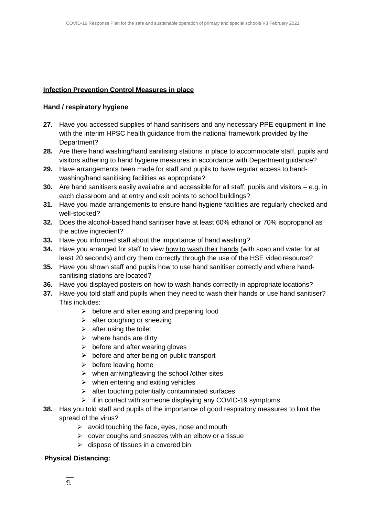### **Infection Prevention Control Measures in place**

### **Hand / respiratory hygiene**

- **27.** Have you accessed supplies of hand sanitisers and any necessary PPE equipment in line with the interim HPSC health guidance from the national framework provided by the Department?
- **28.** Are there hand washing/hand sanitising stations in place to accommodate staff, pupils and visitors adhering to hand hygiene measures in accordance with Department guidance?
- **29.** Have arrangements been made for staff and pupils to have regular access to handwashing/hand sanitising facilities as appropriate?
- **30.** Are hand sanitisers easily available and accessible for all staff, pupils and visitors e.g. in each classroom and at entry and exit points to school buildings?
- **31.** Have you made arrangements to ensure hand hygiene facilities are regularly checked and well-stocked?
- **32.** Does the alcohol-based hand sanitiser have at least 60% ethanol or 70% isopropanol as the active ingredient?
- **33.** Have you informed staff about the importance of hand washing?
- **34.** Have you arranged for staff to view [how to wash their hands](https://www2.hse.ie/wellbeing/how-to-wash-your-hands.html) (with soap and water for at least 20 seconds) and dry them correctly through the use of the HSE video resource?
- **35.** Have you shown staff and pupils how to use hand sanitiser correctly and where handsanitising stations are located?
- **36.** Have you [displayed posters](https://www.gov.ie/en/collection/ee0781-covid-19-posters-for-public-use/) on how to wash hands correctly in appropriate locations?
- **37.** Have you told staff and pupils when they need to wash their hands or use hand sanitiser? This includes:
	- $\triangleright$  before and after eating and preparing food
	- $\triangleright$  after coughing or sneezing
	- $\triangleright$  after using the toilet
	- $\triangleright$  where hands are dirty
	- $\triangleright$  before and after wearing gloves
	- $\triangleright$  before and after being on public transport
	- $\triangleright$  before leaving home
	- $\triangleright$  when arriving/leaving the school /other sites
	- $\triangleright$  when entering and exiting vehicles
	- $\triangleright$  after touching potentially contaminated surfaces
	- $\triangleright$  if in contact with someone displaying any COVID-19 symptoms
- **38.** Has you told staff and pupils of the importance of good respiratory measures to limit the spread of the virus?
	- $\triangleright$  avoid touching the face, eyes, nose and mouth
	- $\triangleright$  cover coughs and sneezes with an elbow or a tissue
	- $\triangleright$  dispose of tissues in a covered bin

### **Physical Distancing:**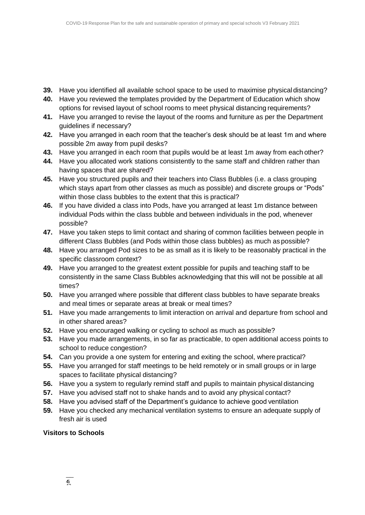- **39.** Have you identified all available school space to be used to maximise physical distancing?
- **40.** Have you reviewed the templates provided by the Department of Education which show options for revised layout of school rooms to meet physical distancing requirements?
- **41.** Have you arranged to revise the layout of the rooms and furniture as per the Department guidelines if necessary?
- **42.** Have you arranged in each room that the teacher's desk should be at least 1m and where possible 2m away from pupil desks?
- **43.** Have you arranged in each room that pupils would be at least 1m away from each other?
- **44.** Have you allocated work stations consistently to the same staff and children rather than having spaces that are shared?
- **45.** Have you structured pupils and their teachers into Class Bubbles (i.e. a class grouping which stays apart from other classes as much as possible) and discrete groups or "Pods" within those class bubbles to the extent that this is practical?
- **46.** If you have divided a class into Pods, have you arranged at least 1m distance between individual Pods within the class bubble and between individuals in the pod, whenever possible?
- **47.** Have you taken steps to limit contact and sharing of common facilities between people in different Class Bubbles (and Pods within those class bubbles) as much as possible?
- **48.** Have you arranged Pod sizes to be as small as it is likely to be reasonably practical in the specific classroom context?
- **49.** Have you arranged to the greatest extent possible for pupils and teaching staff to be consistently in the same Class Bubbles acknowledging that this will not be possible at all times?
- **50.** Have you arranged where possible that different class bubbles to have separate breaks and meal times or separate areas at break or meal times?
- **51.** Have you made arrangements to limit interaction on arrival and departure from school and in other shared areas?
- **52.** Have you encouraged walking or cycling to school as much as possible?
- **53.** Have you made arrangements, in so far as practicable, to open additional access points to school to reduce congestion?
- **54.** Can you provide a one system for entering and exiting the school, where practical?
- **55.** Have you arranged for staff meetings to be held remotely or in small groups or in large spaces to facilitate physical distancing?
- **56.** Have you a system to regularly remind staff and pupils to maintain physical distancing
- **57.** Have you advised staff not to shake hands and to avoid any physical contact?
- **58.** Have you advised staff of the Department's guidance to achieve good ventilation
- **59.** Have you checked any mechanical ventilation systems to ensure an adequate supply of fresh air is used

### **Visitors to Schools**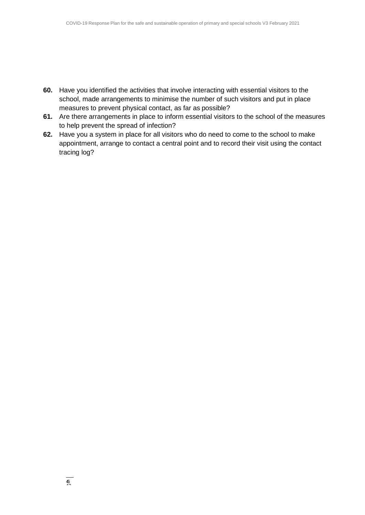- **60.** Have you identified the activities that involve interacting with essential visitors to the school, made arrangements to minimise the number of such visitors and put in place measures to prevent physical contact, as far as possible?
- **61.** Are there arrangements in place to inform essential visitors to the school of the measures to help prevent the spread of infection?
- **62.** Have you a system in place for all visitors who do need to come to the school to make appointment, arrange to contact a central point and to record their visit using the contact tracing log?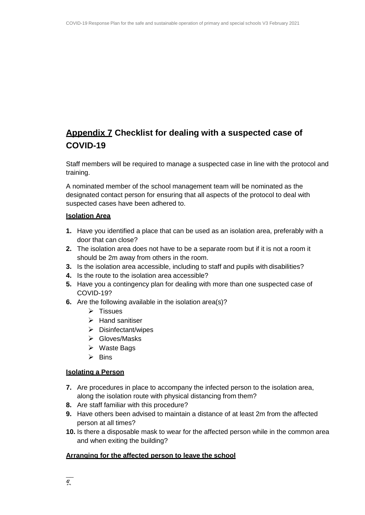## **Appendix 7 Checklist for dealing with a suspected case of COVID-19**

Staff members will be required to manage a suspected case in line with the protocol and training.

A nominated member of the school management team will be nominated as the designated contact person for ensuring that all aspects of the protocol to deal with suspected cases have been adhered to.

### **Isolation Area**

- **1.** Have you identified a place that can be used as an isolation area, preferably with a door that can close?
- **2.** The isolation area does not have to be a separate room but if it is not a room it should be 2m away from others in the room.
- **3.** Is the isolation area accessible, including to staff and pupils with disabilities?
- **4.** Is the route to the isolation area accessible?
- **5.** Have you a contingency plan for dealing with more than one suspected case of COVID-19?
- **6.** Are the following available in the isolation area(s)?
	- $\triangleright$  Tissues
	- $\triangleright$  Hand sanitiser
	- Disinfectant/wipes
	- Gloves/Masks
	- $\triangleright$  Waste Bags
	- $\triangleright$  Bins

#### **Isolating a Person**

- **7.** Are procedures in place to accompany the infected person to the isolation area, along the isolation route with physical distancing from them?
- **8.** Are staff familiar with this procedure?
- **9.** Have others been advised to maintain a distance of at least 2m from the affected person at all times?
- **10.** Is there a disposable mask to wear for the affected person while in the common area and when exiting the building?

### **Arranging for the affected person to leave the school**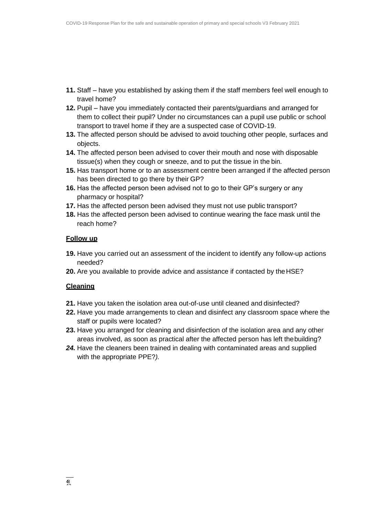- **11.** Staff have you established by asking them if the staff members feel well enough to travel home?
- **12.** Pupil have you immediately contacted their parents/guardians and arranged for them to collect their pupil? Under no circumstances can a pupil use public or school transport to travel home if they are a suspected case of COVID-19.
- **13.** The affected person should be advised to avoid touching other people, surfaces and objects.
- **14.** The affected person been advised to cover their mouth and nose with disposable tissue(s) when they cough or sneeze, and to put the tissue in the bin.
- **15.** Has transport home or to an assessment centre been arranged if the affected person has been directed to go there by their GP?
- **16.** Has the affected person been advised not to go to their GP's surgery or any pharmacy or hospital?
- **17.** Has the affected person been advised they must not use public transport?
- **18.** Has the affected person been advised to continue wearing the face mask until the reach home?

### **Follow up**

- **19.** Have you carried out an assessment of the incident to identify any follow-up actions needed?
- **20.** Are you available to provide advice and assistance if contacted by theHSE?

### **Cleaning**

- **21.** Have you taken the isolation area out-of-use until cleaned and disinfected?
- **22.** Have you made arrangements to clean and disinfect any classroom space where the staff or pupils were located?
- **23.** Have you arranged for cleaning and disinfection of the isolation area and any other areas involved, as soon as practical after the affected person has left thebuilding?
- *24.* Have the cleaners been trained in dealing with contaminated areas and supplied with the appropriate PPE?*).*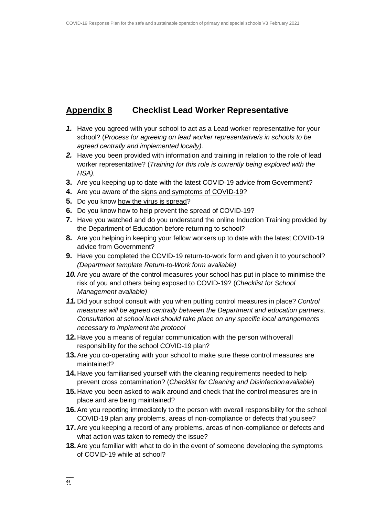### **Appendix 8 Checklist Lead Worker Representative**

- *1.* Have you agreed with your school to act as a Lead worker representative for your school? (*Process for agreeing on lead worker representative/s in schools to be agreed centrally and implemented locally).*
- *2.* Have you been provided with information and training in relation to the role of lead worker representative? (*Training for this role is currently being explored with the HSA).*
- **3.** Are you keeping up to date with the latest COVID-19 advice from Government?
- **4.** Are you aware of the [signs and symptoms of](https://www2.hse.ie/conditions/coronavirus/symptoms.html) COVID-19?
- **5.** Do you know [how the virus is](https://www2.hse.ie/conditions/coronavirus/how-coronavirus-is-spread.html) spread?
- **6.** Do you know how to help prevent the spread of COVID-19?
- **7.** Have you watched and do you understand the online Induction Training provided by the Department of Education before returning to school?
- **8.** Are you helping in keeping your fellow workers up to date with the latest COVID-19 advice from Government?
- **9.** Have you completed the COVID-19 return-to-work form and given it to your school? *(Department template Return-to-Work form available)*
- *10.*Are you aware of the control measures your school has put in place to minimise the risk of you and others being exposed to COVID-19? (*Checklist for School Management available)*
- *11.* Did your school consult with you when putting control measures in place? *Control measures will be agreed centrally between the Department and education partners. Consultation at school level should take place on any specific local arrangements necessary to implement the protocol*
- **12.** Have you a means of regular communication with the person with overall responsibility for the school COVID-19 plan?
- **13.**Are you co-operating with your school to make sure these control measures are maintained?
- **14.** Have you familiarised yourself with the cleaning requirements needed to help prevent cross contamination? (*Checklist for Cleaning and Disinfectionavailable*)
- **15.** Have you been asked to walk around and check that the control measures are in place and are being maintained?
- **16.**Are you reporting immediately to the person with overall responsibility for the school COVID-19 plan any problems, areas of non-compliance or defects that you see?
- **17.**Are you keeping a record of any problems, areas of non-compliance or defects and what action was taken to remedy the issue?
- **18.**Are you familiar with what to do in the event of someone developing the symptoms of COVID-19 while at school?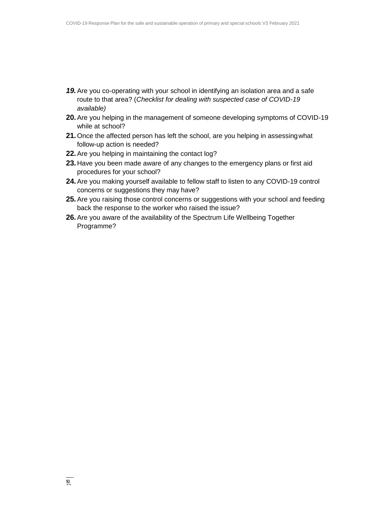- *19.*Are you co-operating with your school in identifying an isolation area and a safe route to that area? (*Checklist for dealing with suspected case of COVID-19 available)*
- **20.**Are you helping in the management of someone developing symptoms of COVID-19 while at school?
- **21.**Once the affected person has left the school, are you helping in assessingwhat follow-up action is needed?
- **22.**Are you helping in maintaining the contact log?
- **23.** Have you been made aware of any changes to the emergency plans or first aid procedures for your school?
- **24.**Are you making yourself available to fellow staff to listen to any COVID-19 control concerns or suggestions they may have?
- **25.**Are you raising those control concerns or suggestions with your school and feeding back the response to the worker who raised the issue?
- **26.**Are you aware of the availability of the Spectrum Life Wellbeing Together Programme?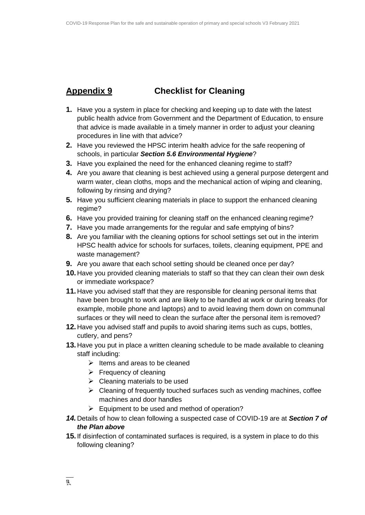### **Appendix 9 Checklist for Cleaning**

- **1.** Have you a system in place for checking and keeping up to date with the latest public health advice from Government and the Department of Education, to ensure that advice is made available in a timely manner in order to adjust your cleaning procedures in line with that advice?
- **2.** Have you reviewed the HPSC interim health advice for the safe reopening of schools, in particular *Section 5.6 Environmental Hygiene*?
- **3.** Have you explained the need for the enhanced cleaning regime to staff?
- **4.** Are you aware that cleaning is best achieved using a general purpose detergent and warm water, clean cloths, mops and the mechanical action of wiping and cleaning, following by rinsing and drying?
- **5.** Have you sufficient cleaning materials in place to support the enhanced cleaning regime?
- **6.** Have you provided training for cleaning staff on the enhanced cleaning regime?
- **7.** Have you made arrangements for the regular and safe emptying of bins?
- **8.** Are you familiar with the cleaning options for school settings set out in the interim HPSC health advice for schools for surfaces, toilets, cleaning equipment, PPE and waste management?
- **9.** Are you aware that each school setting should be cleaned once per day?
- **10.** Have you provided cleaning materials to staff so that they can clean their own desk or immediate workspace?
- **11.** Have you advised staff that they are responsible for cleaning personal items that have been brought to work and are likely to be handled at work or during breaks (for example, mobile phone and laptops) and to avoid leaving them down on communal surfaces or they will need to clean the surface after the personal item is removed?
- **12.** Have you advised staff and pupils to avoid sharing items such as cups, bottles, cutlery, and pens?
- **13.** Have you put in place a written cleaning schedule to be made available to cleaning staff including:
	- $\triangleright$  Items and areas to be cleaned
	- $\triangleright$  Frequency of cleaning
	- $\triangleright$  Cleaning materials to be used
	- $\triangleright$  Cleaning of frequently touched surfaces such as vending machines, coffee machines and door handles
	- $\triangleright$  Equipment to be used and method of operation?
- *14.* Details of how to clean following a suspected case of COVID-19 are at *Section 7 of the Plan above*
- **15.** If disinfection of contaminated surfaces is required, is a system in place to do this following cleaning?